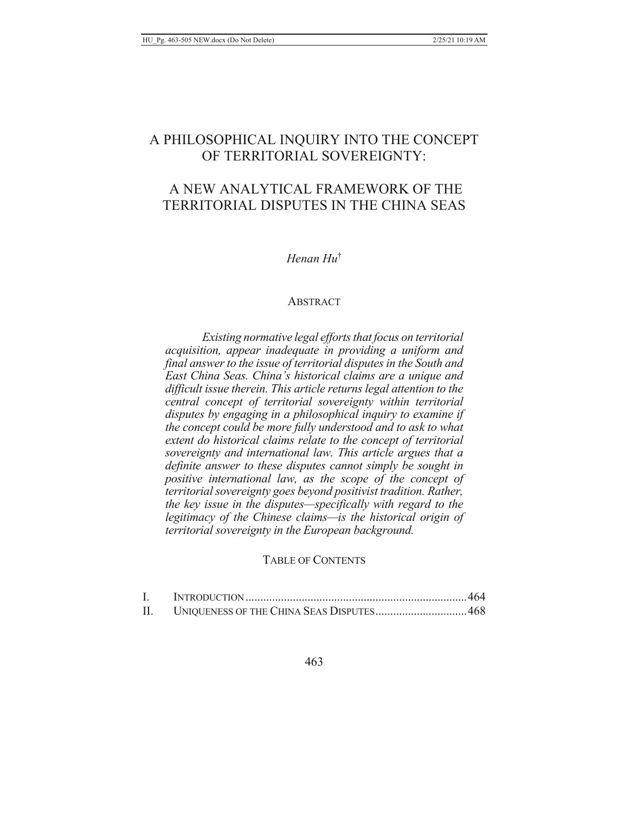# A PHILOSOPHICAL INQUIRY INTO THE CONCEPT OF TERRITORIAL SOVEREIGNTY:

# A NEW ANALYTICAL FRAMEWORK OF THE TERRITORIAL DISPUTES IN THE CHINA SEAS

# $H$ *enan*  $Hu^{\dagger}$

#### **ABSTRACT**

Existing normative legal efforts that focus on territorial acquisition, appear inadequate in providing a uniform and final answer to the issue of territorial disputes in the South and East China Seas. China's historical claims are a unique and difficult issue therein. This article returns legal attention to the central concept of territorial sovereignty within territorial disputes by engaging in a philosophical inquiry to examine if the concept could be more fully understood and to ask to what extent do historical claims relate to the concept of territorial sovereignty and international law. This article argues that a definite answer to these disputes cannot simply be sought in positive international law, as the scope of the concept of territorial sovereignty goes beyond positivist tradition. Rather, the key issue in the disputes—specifically with regard to the legitimacy of the Chinese claims—is the historical origin of territorial sovereignty in the European background.

## **TABLE OF CONTENTS**

| II. | UNIQUENESS OF THE CHINA SEAS DISPUTES468 |  |
|-----|------------------------------------------|--|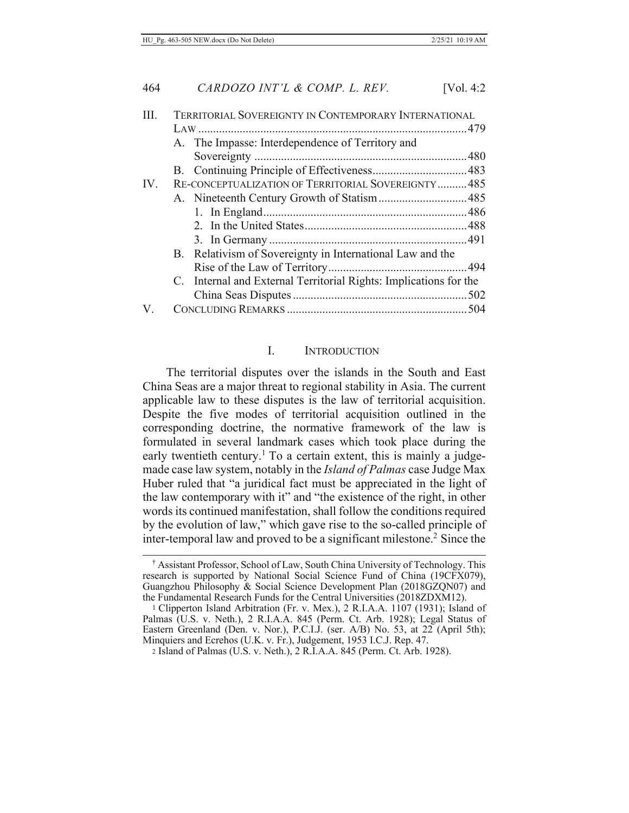| Ш   | TERRITORIAL SOVEREIGNTY IN CONTEMPORARY INTERNATIONAL             |  |
|-----|-------------------------------------------------------------------|--|
|     |                                                                   |  |
|     | A. The Impasse: Interdependence of Territory and                  |  |
|     |                                                                   |  |
|     |                                                                   |  |
| IV. | RE-CONCEPTUALIZATION OF TERRITORIAL SOVEREIGNTY485                |  |
|     |                                                                   |  |
|     |                                                                   |  |
|     |                                                                   |  |
|     |                                                                   |  |
|     | B. Relativism of Sovereignty in International Law and the         |  |
|     |                                                                   |  |
|     | C. Internal and External Territorial Rights: Implications for the |  |
|     |                                                                   |  |
| V.  |                                                                   |  |
|     |                                                                   |  |

#### I. **INTRODUCTION**

The territorial disputes over the islands in the South and East China Seas are a major threat to regional stability in Asia. The current applicable law to these disputes is the law of territorial acquisition. Despite the five modes of territorial acquisition outlined in the corresponding doctrine, the normative framework of the law is formulated in several landmark cases which took place during the early twentieth century.<sup>1</sup> To a certain extent, this is mainly a judgemade case law system, notably in the *Island of Palmas* case Judge Max Huber ruled that "a juridical fact must be appreciated in the light of the law contemporary with it" and "the existence of the right, in other words its continued manifestation, shall follow the conditions required by the evolution of law," which gave rise to the so-called principle of inter-temporal law and proved to be a significant milestone.<sup>2</sup> Since the

<sup>&</sup>lt;sup>†</sup> Assistant Professor, School of Law, South China University of Technology. This research is supported by National Social Science Fund of China (19CFX079), Guangzhou Philosophy & Social Science Development Plan (2018GZQN07) and the Fundamental Research Funds for the Central Universities (2018ZDXM12).

<sup>&</sup>lt;sup>1</sup> Clipperton Island Arbitration (Fr. v. Mex.), 2 R.I.A.A. 1107 (1931); Island of Palmas (U.S. v. Neth.), 2 R.I.A.A. 845 (Perm. Ct. Arb. 1928); Legal Status of Eastern Greenland (Den. v. Nor.), P.C.I.J. (ser. A/B) No. 53, at 22 (April 5th); Minquiers and Ecrehos (U.K. v. Fr.), Judgement, 1953 I.C.J. Rep. 47.

<sup>2</sup> Island of Palmas (U.S. v. Neth.), 2 R.I.A.A. 845 (Perm. Ct. Arb. 1928).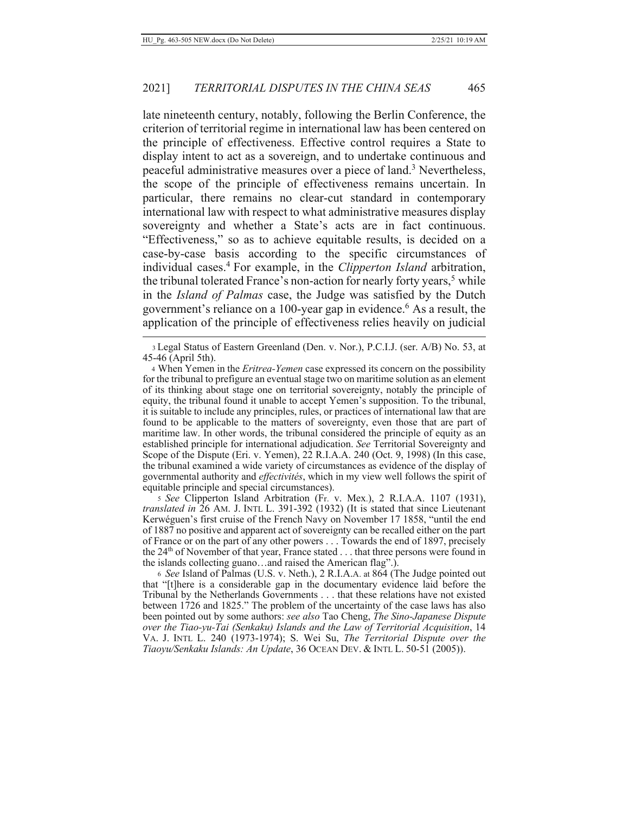late nineteenth century, notably, following the Berlin Conference, the criterion of territorial regime in international law has been centered on the principle of effectiveness. Effective control requires a State to display intent to act as a sovereign, and to undertake continuous and peaceful administrative measures over a piece of land.<sup>3</sup> Nevertheless, the scope of the principle of effectiveness remains uncertain. In particular, there remains no clear-cut standard in contemporary international law with respect to what administrative measures display sovereignty and whether a State's acts are in fact continuous. "Effectiveness," so as to achieve equitable results, is decided on a case-by-case basis according to the specific circumstances of individual cases.<sup>4</sup> For example, in the *Clipperton Island* arbitration, the tribunal tolerated France's non-action for nearly forty years,<sup>5</sup> while in the *Island of Palmas* case, the Judge was satisfied by the Dutch government's reliance on a 100-year gap in evidence.<sup>6</sup> As a result, the application of the principle of effectiveness relies heavily on judicial

5 See Clipperton Island Arbitration (Fr. v. Mex.), 2 R.I.A.A. 1107 (1931), translated in 26 AM. J. INTL L. 391-392 (1932) (It is stated that since Lieutenant Kerwéguen's first cruise of the French Navy on November 17 1858, "until the end of 1887 no positive and apparent act of sovereignty can be recalled either on the part of France or on the part of any other powers . . . Towards the end of 1897, precisely the  $24<sup>th</sup>$  of November of that year, France stated ... that three persons were found in the islands collecting guano...and raised the American flag".).

6 See Island of Palmas (U.S. v. Neth.), 2 R.I.A.A. at 864 (The Judge pointed out that "[t]here is a considerable gap in the documentary evidence laid before the Tribunal by the Netherlands Governments . . . that these relations have not existed between 1726 and 1825." The problem of the uncertainty of the case laws has also been pointed out by some authors: see also Tao Cheng, The Sino-Japanese Dispute over the Tiao-yu-Tai (Senkaku) Islands and the Law of Territorial Acquisition, 14 VA. J. INTL L. 240 (1973-1974); S. Wei Su, The Territorial Dispute over the Tiaoyu/Senkaku Islands: An Update, 36 OCEAN DEV. & INTL L. 50-51 (2005)).

<sup>3</sup> Legal Status of Eastern Greenland (Den. v. Nor.), P.C.I.J. (ser. A/B) No. 53, at 45-46 (April 5th).

<sup>4</sup> When Yemen in the *Eritrea-Yemen* case expressed its concern on the possibility for the tribunal to prefigure an eventual stage two on maritime solution as an element of its thinking about stage one on territorial sovereignty, notably the principle of equity, the tribunal found it unable to accept Yemen's supposition. To the tribunal, it is suitable to include any principles, rules, or practices of international law that are found to be applicable to the matters of sovereignty, even those that are part of maritime law. In other words, the tribunal considered the principle of equity as an established principle for international adjudication. See Territorial Sovereignty and Scope of the Dispute (Eri. v. Yemen), 22 R.I.A.A. 240 (Oct. 9, 1998) (In this case, the tribunal examined a wide variety of circumstances as evidence of the display of governmental authority and *effectivités*, which in my view well follows the spirit of equitable principle and special circumstances).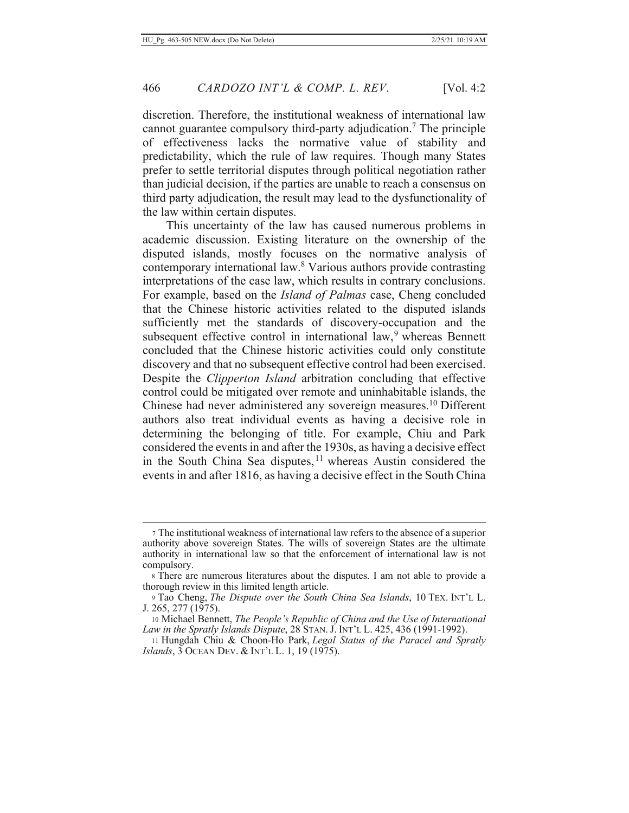466

discretion. Therefore, the institutional weakness of international law cannot guarantee compulsory third-party adjudication.<sup>7</sup> The principle of effectiveness lacks the normative value of stability and predictability, which the rule of law requires. Though many States prefer to settle territorial disputes through political negotiation rather than judicial decision, if the parties are unable to reach a consensus on third party adjudication, the result may lead to the dysfunctionality of the law within certain disputes.

This uncertainty of the law has caused numerous problems in academic discussion. Existing literature on the ownership of the disputed islands, mostly focuses on the normative analysis of contemporary international law.<sup>8</sup> Various authors provide contrasting interpretations of the case law, which results in contrary conclusions. For example, based on the Island of Palmas case, Cheng concluded that the Chinese historic activities related to the disputed islands sufficiently met the standards of discovery-occupation and the subsequent effective control in international law,<sup>9</sup> whereas Bennett concluded that the Chinese historic activities could only constitute discovery and that no subsequent effective control had been exercised. Despite the *Clipperton Island* arbitration concluding that effective control could be mitigated over remote and uninhabitable islands, the Chinese had never administered any sovereign measures.<sup>10</sup> Different authors also treat individual events as having a decisive role in determining the belonging of title. For example, Chiu and Park considered the events in and after the 1930s, as having a decisive effect in the South China Sea disputes,<sup>11</sup> whereas Austin considered the events in and after 1816, as having a decisive effect in the South China

<sup>7</sup> The institutional weakness of international law refers to the absence of a superior authority above sovereign States. The wills of sovereign States are the ultimate authority in international law so that the enforcement of international law is not compulsory.

<sup>8</sup> There are numerous literatures about the disputes. I am not able to provide a thorough review in this limited length article.

<sup>9</sup> Tao Cheng, The Dispute over the South China Sea Islands, 10 TEX. INT'L L. J. 265, 277 (1975).

<sup>10</sup> Michael Bennett, The People's Republic of China and the Use of International Law in the Spratly Islands Dispute, 28 STAN. J. INT'L L. 425, 436 (1991-1992).

<sup>11</sup> Hungdah Chiu & Choon-Ho Park, Legal Status of the Paracel and Spratly Islands, 3 OCEAN DEV. & INT'L L. 1, 19 (1975).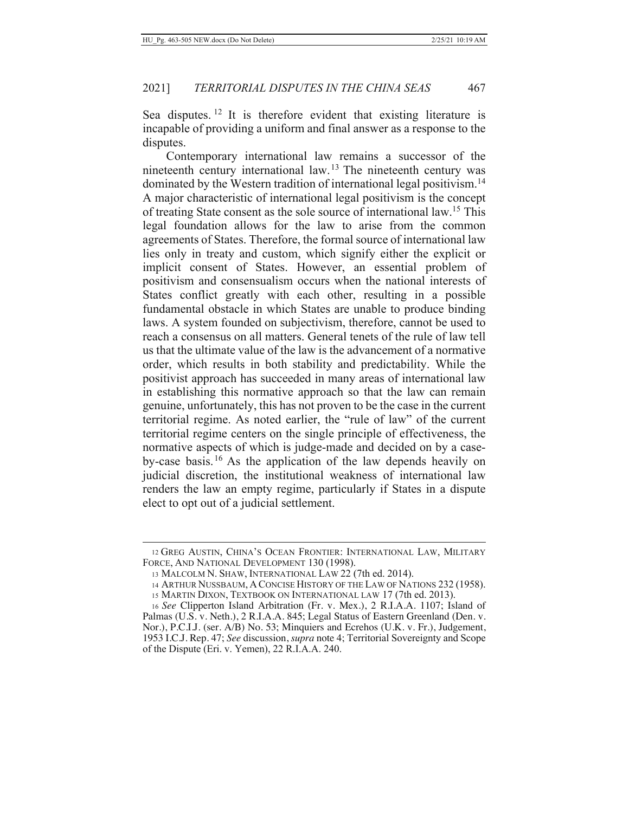Sea disputes.<sup>12</sup> It is therefore evident that existing literature is incapable of providing a uniform and final answer as a response to the disputes.

Contemporary international law remains a successor of the nineteenth century international law.<sup>13</sup> The nineteenth century was dominated by the Western tradition of international legal positivism.<sup>14</sup> A major characteristic of international legal positivism is the concept of treating State consent as the sole source of international law.<sup>15</sup> This legal foundation allows for the law to arise from the common agreements of States. Therefore, the formal source of international law lies only in treaty and custom, which signify either the explicit or implicit consent of States. However, an essential problem of positivism and consensualism occurs when the national interests of States conflict greatly with each other, resulting in a possible fundamental obstacle in which States are unable to produce binding laws. A system founded on subjectivism, therefore, cannot be used to reach a consensus on all matters. General tenets of the rule of law tell us that the ultimate value of the law is the advancement of a normative order, which results in both stability and predictability. While the positivist approach has succeeded in many areas of international law in establishing this normative approach so that the law can remain genuine, unfortunately, this has not proven to be the case in the current territorial regime. As noted earlier, the "rule of law" of the current territorial regime centers on the single principle of effectiveness, the normative aspects of which is judge-made and decided on by a caseby-case basis.<sup>16</sup> As the application of the law depends heavily on judicial discretion, the institutional weakness of international law renders the law an empty regime, particularly if States in a dispute elect to opt out of a judicial settlement.

<sup>12</sup> GREG AUSTIN, CHINA'S OCEAN FRONTIER: INTERNATIONAL LAW, MILITARY FORCE, AND NATIONAL DEVELOPMENT 130 (1998).

<sup>13</sup> MALCOLM N. SHAW, INTERNATIONAL LAW 22 (7th ed. 2014).

<sup>14</sup> ARTHUR NUSSBAUM, A CONCISE HISTORY OF THE LAW OF NATIONS 232 (1958). 15 MARTIN DIXON, TEXTBOOK ON INTERNATIONAL LAW 17 (7th ed. 2013).

<sup>16</sup> See Clipperton Island Arbitration (Fr. v. Mex.), 2 R.I.A.A. 1107; Island of Palmas (U.S. v. Neth.), 2 R.I.A.A. 845; Legal Status of Eastern Greenland (Den. v. Nor.), P.C.I.J. (ser. A/B) No. 53; Minquiers and Ecrehos (U.K. v. Fr.), Judgement, 1953 I.C.J. Rep. 47; See discussion, supra note 4; Territorial Sovereignty and Scope of the Dispute (Eri. v. Yemen), 22 R.I.A.A. 240.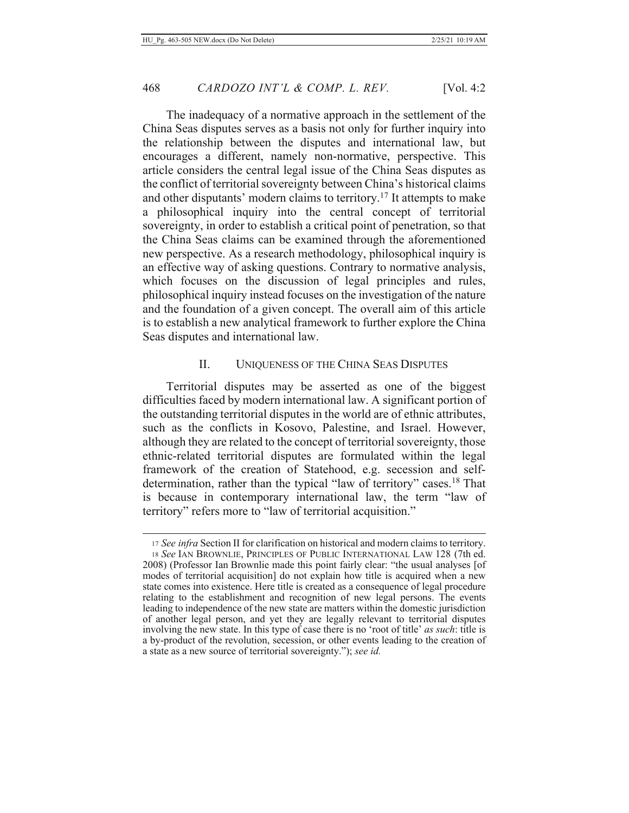The inadequacy of a normative approach in the settlement of the China Seas disputes serves as a basis not only for further inquiry into the relationship between the disputes and international law, but encourages a different, namely non-normative, perspective. This article considers the central legal issue of the China Seas disputes as the conflict of territorial sovereignty between China's historical claims and other disputants' modern claims to territory.<sup>17</sup> It attempts to make a philosophical inquiry into the central concept of territorial sovereignty, in order to establish a critical point of penetration, so that the China Seas claims can be examined through the aforementioned new perspective. As a research methodology, philosophical inquiry is an effective way of asking questions. Contrary to normative analysis, which focuses on the discussion of legal principles and rules, philosophical inquiry instead focuses on the investigation of the nature and the foundation of a given concept. The overall aim of this article is to establish a new analytical framework to further explore the China Seas disputes and international law.

### II. UNIQUENESS OF THE CHINA SEAS DISPUTES

Territorial disputes may be asserted as one of the biggest difficulties faced by modern international law. A significant portion of the outstanding territorial disputes in the world are of ethnic attributes, such as the conflicts in Kosovo, Palestine, and Israel. However, although they are related to the concept of territorial sovereignty, those ethnic-related territorial disputes are formulated within the legal framework of the creation of Statehood, e.g. secession and selfdetermination, rather than the typical "law of territory" cases.<sup>18</sup> That is because in contemporary international law, the term "law of territory" refers more to "law of territorial acquisition."

<sup>17</sup> See infra Section II for clarification on historical and modern claims to territory. 18 See IAN BROWNLIE, PRINCIPLES OF PUBLIC INTERNATIONAL LAW 128 (7th ed. 2008) (Professor Ian Brownlie made this point fairly clear: "the usual analyses [of modes of territorial acquisition] do not explain how title is acquired when a new state comes into existence. Here title is created as a consequence of legal procedure relating to the establishment and recognition of new legal persons. The events leading to independence of the new state are matters within the domestic jurisdiction of another legal person, and yet they are legally relevant to territorial disputes involving the new state. In this type of case there is no 'root of title' as such: title is a by-product of the revolution, secession, or other events leading to the creation of a state as a new source of territorial sovereignty."); see id.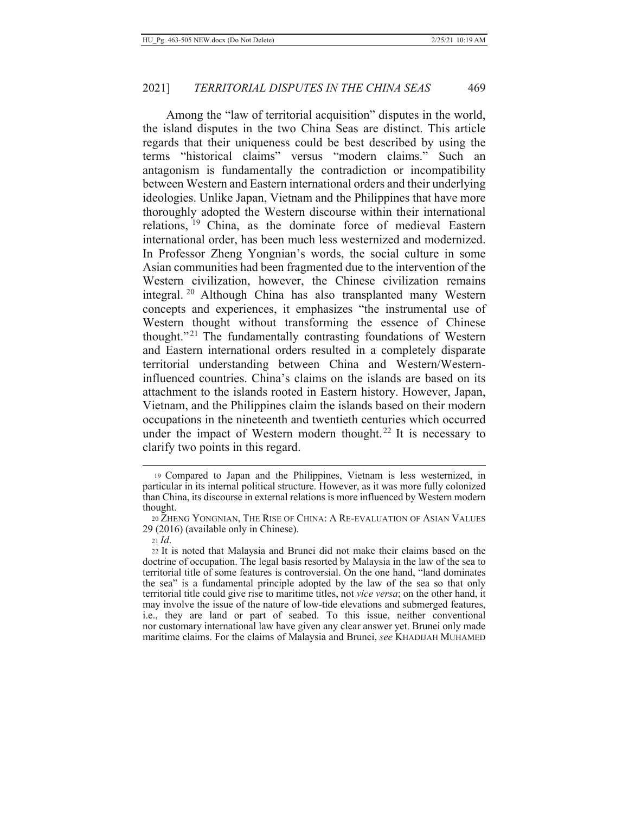Among the "law of territorial acquisition" disputes in the world, the island disputes in the two China Seas are distinct. This article regards that their uniqueness could be best described by using the terms "historical claims" versus "modern claims." Such an antagonism is fundamentally the contradiction or incompatibility between Western and Eastern international orders and their underlying ideologies. Unlike Japan, Vietnam and the Philippines that have more thoroughly adopted the Western discourse within their international relations, <sup>19</sup> China, as the dominate force of medieval Eastern international order, has been much less westernized and modernized. In Professor Zheng Yongnian's words, the social culture in some Asian communities had been fragmented due to the intervention of the Western civilization, however, the Chinese civilization remains integral.<sup>20</sup> Although China has also transplanted many Western concepts and experiences, it emphasizes "the instrumental use of Western thought without transforming the essence of Chinese thought."<sup>21</sup> The fundamentally contrasting foundations of Western and Eastern international orders resulted in a completely disparate territorial understanding between China and Western/Westerninfluenced countries. China's claims on the islands are based on its attachment to the islands rooted in Eastern history. However, Japan, Vietnam, and the Philippines claim the islands based on their modern occupations in the nineteenth and twentieth centuries which occurred under the impact of Western modern thought.<sup>22</sup> It is necessary to clarify two points in this regard.

<sup>19</sup> Compared to Japan and the Philippines, Vietnam is less westernized, in particular in its internal political structure. However, as it was more fully colonized than China, its discourse in external relations is more influenced by Western modern thought.

<sup>20</sup> ZHENG YONGNIAN, THE RISE OF CHINA: A RE-EVALUATION OF ASIAN VALUES 29 (2016) (available only in Chinese).

 $21$  Id.

<sup>22</sup> It is noted that Malaysia and Brunei did not make their claims based on the doctrine of occupation. The legal basis resorted by Malaysia in the law of the sea to territorial title of some features is controversial. On the one hand, "land dominates the sea" is a fundamental principle adopted by the law of the sea so that only territorial title could give rise to maritime titles, not *vice versa*; on the other hand, it may involve the issue of the nature of low-tide elevations and submerged features, i.e., they are land or part of seabed. To this issue, neither conventional nor customary international law have given any clear answer yet. Brunei only made maritime claims. For the claims of Malaysia and Brunei, see KHADIJAH MUHAMED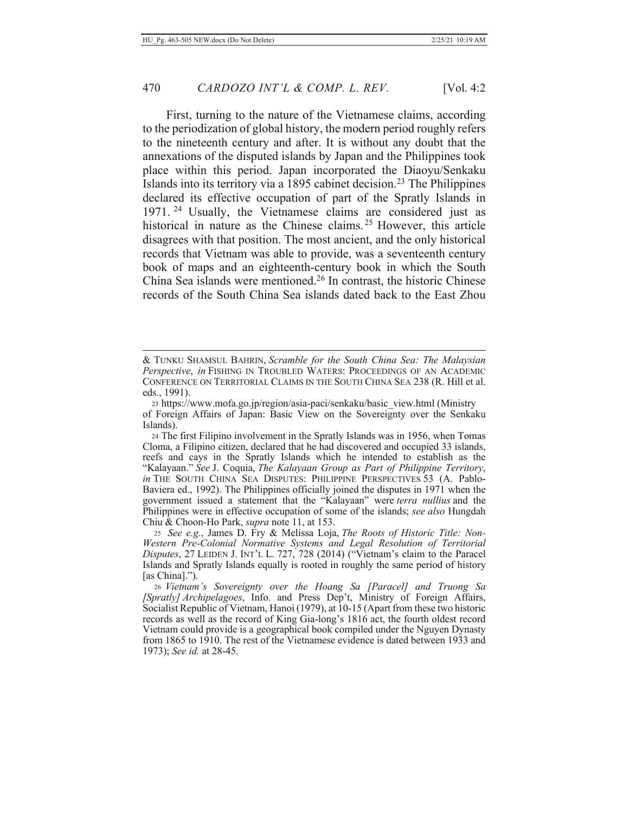First, turning to the nature of the Vietnamese claims, according to the periodization of global history, the modern period roughly refers to the nineteenth century and after. It is without any doubt that the annexations of the disputed islands by Japan and the Philippines took place within this period. Japan incorporated the Diaoyu/Senkaku Islands into its territory via a 1895 cabinet decision.<sup>23</sup> The Philippines declared its effective occupation of part of the Spratly Islands in 1971.<sup>24</sup> Usually, the Vietnamese claims are considered just as historical in nature as the Chinese claims.<sup>25</sup> However, this article disagrees with that position. The most ancient, and the only historical records that Vietnam was able to provide, was a seventeenth century book of maps and an eighteenth-century book in which the South China Sea islands were mentioned.<sup>26</sup> In contrast, the historic Chinese records of the South China Sea islands dated back to the East Zhou

<sup>&</sup>amp; TUNKU SHAMSUL BAHRIN, Scramble for the South China Sea: The Malaysian Perspective, in FISHING IN TROUBLED WATERS: PROCEEDINGS OF AN ACADEMIC CONFERENCE ON TERRITORIAL CLAIMS IN THE SOUTH CHINA SEA 238 (R. Hill et al. eds., 1991).

<sup>23</sup> https://www.mofa.go.jp/region/asia-paci/senkaku/basic view.html (Ministry of Foreign Affairs of Japan: Basic View on the Sovereignty over the Senkaku Islands).

<sup>24</sup> The first Filipino involvement in the Spratly Islands was in 1956, when Tomas Cloma, a Filipino citizen, declared that he had discovered and occupied 33 islands, reefs and cays in the Spratly Islands which he intended to establish as the "Kalayaan." See J. Coquia, The Kalayaan Group as Part of Philippine Territory, in THE SOUTH CHINA SEA DISPUTES: PHILIPPINE PERSPECTIVES 53 (A. Pablo-Baviera ed., 1992). The Philippines officially joined the disputes in 1971 when the government issued a statement that the "Kalayaan" were terra nullius and the Philippines were in effective occupation of some of the islands; see also Hungdah Chiu & Choon-Ho Park, supra note 11, at 153.

<sup>25</sup> See e.g., James D. Fry & Melissa Loja, The Roots of Historic Title: Non-Western Pre-Colonial Normative Systems and Legal Resolution of Territorial Disputes, 27 LEIDEN J. INT'L L. 727, 728 (2014) ("Vietnam's claim to the Paracel Islands and Spratly Islands equally is rooted in roughly the same period of history [as China].").

<sup>&</sup>lt;sup>26</sup> Vietnam's Sovereignty over the Hoang Sa [Paracel] and Truong Sa [Spratly] Archipelagoes, Info. and Press Dep't, Ministry of Foreign Affairs, Socialist Republic of Vietnam, Hanoi (1979), at 10-15 (Apart from these two historic records as well as the record of King Gia-long's 1816 act, the fourth oldest record Vietnam could provide is a geographical book compiled under the Nguyen Dynasty from 1865 to 1910. The rest of the Vietnamese evidence is dated between 1933 and 1973); See id. at 28-45.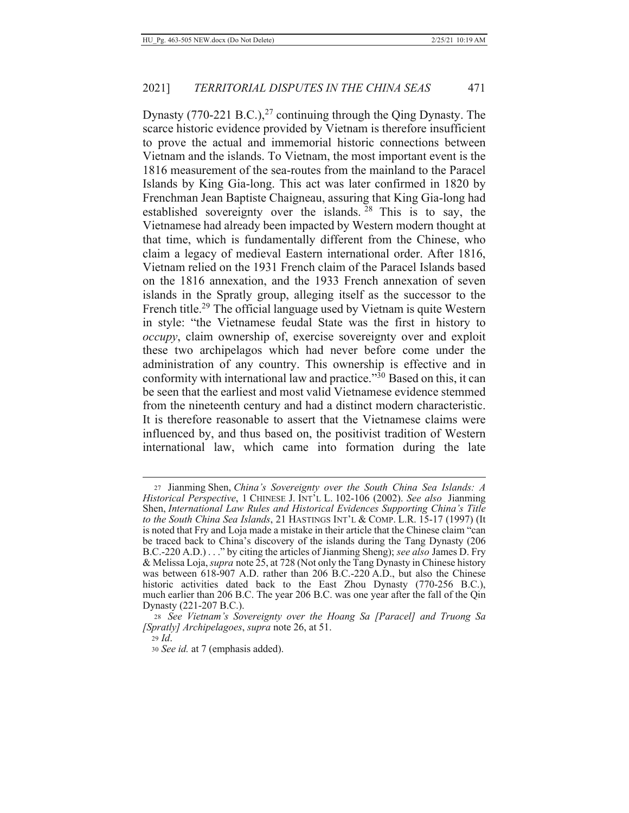Dynasty (770-221 B.C.),<sup>27</sup> continuing through the Qing Dynasty. The scarce historic evidence provided by Vietnam is therefore insufficient to prove the actual and immemorial historic connections between Vietnam and the islands. To Vietnam, the most important event is the 1816 measurement of the sea-routes from the mainland to the Paracel Islands by King Gia-long. This act was later confirmed in 1820 by Frenchman Jean Baptiste Chaigneau, assuring that King Gia-long had established sovereignty over the islands.  $28$  This is to say, the Vietnamese had already been impacted by Western modern thought at that time, which is fundamentally different from the Chinese, who claim a legacy of medieval Eastern international order. After 1816, Vietnam relied on the 1931 French claim of the Paracel Islands based on the 1816 annexation, and the 1933 French annexation of seven islands in the Spratly group, alleging itself as the successor to the French title.<sup>29</sup> The official language used by Vietnam is quite Western in style: "the Vietnamese feudal State was the first in history to *occupy*, claim ownership of, exercise sovereignty over and exploit these two archipelagos which had never before come under the administration of any country. This ownership is effective and in conformity with international law and practice."<sup>30</sup> Based on this, it can be seen that the earliest and most valid Vietnamese evidence stemmed from the nineteenth century and had a distinct modern characteristic.

It is therefore reasonable to assert that the Vietnamese claims were influenced by, and thus based on, the positivist tradition of Western international law, which came into formation during the late

<sup>27</sup> Jianming Shen, China's Sovereignty over the South China Sea Islands: A Historical Perspective, 1 CHINESE J. INT'L L. 102-106 (2002). See also Jianming Shen, International Law Rules and Historical Evidences Supporting China's Title to the South China Sea Islands, 21 HASTINGS INT'L & COMP. L.R. 15-17 (1997) (It is noted that Fry and Loja made a mistake in their article that the Chinese claim "can be traced back to China's discovery of the islands during the Tang Dynasty (206 B.C.-220 A.D.). . . " by citing the articles of Jianming Sheng); see also James D. Fry & Melissa Loja, *supra* note 25, at 728 (Not only the Tang Dynasty in Chinese history was between 618-907 A.D. rather than 206 B.C.-220 A.D., but also the Chinese historic activities dated back to the East Zhou Dynasty (770-256 B.C.), much earlier than 206 B.C. The year 206 B.C. was one year after the fall of the Qin Dynasty (221-207 B.C.).

<sup>28</sup> See Vietnam's Sovereignty over the Hoang Sa [Paracel] and Truong Sa [Spratly] Archipelagoes, supra note 26, at 51.

 $29$  *Id.* 

<sup>30</sup> See id. at 7 (emphasis added).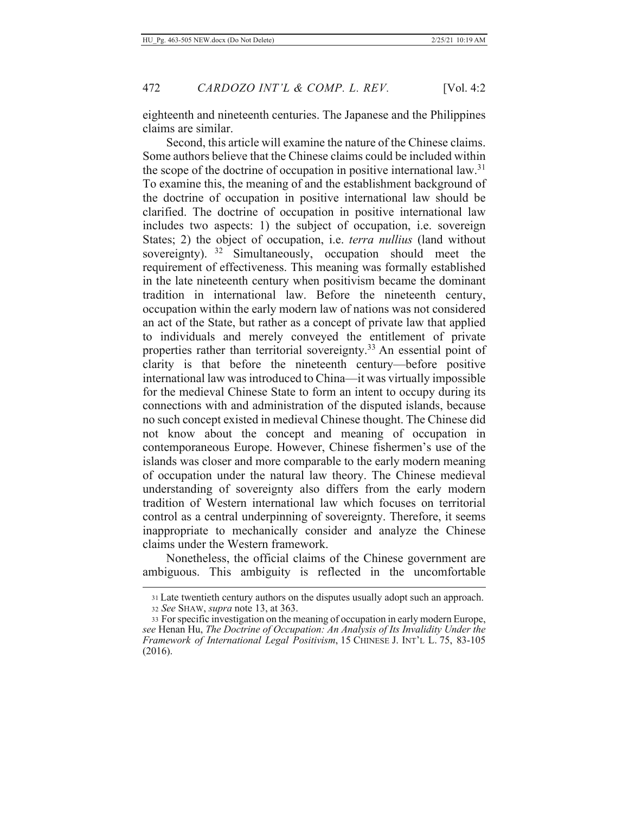eighteenth and nineteenth centuries. The Japanese and the Philippines claims are similar.

Second, this article will examine the nature of the Chinese claims. Some authors believe that the Chinese claims could be included within the scope of the doctrine of occupation in positive international law.<sup>31</sup> To examine this, the meaning of and the establishment background of the doctrine of occupation in positive international law should be clarified. The doctrine of occupation in positive international law includes two aspects: 1) the subject of occupation, i.e. sovereign States; 2) the object of occupation, *i.e. terra nullius* (land without sovereignty).  $32$  Simultaneously, occupation should meet the requirement of effectiveness. This meaning was formally established in the late nineteenth century when positivism became the dominant tradition in international law. Before the nineteenth century, occupation within the early modern law of nations was not considered an act of the State, but rather as a concept of private law that applied to individuals and merely conveyed the entitlement of private properties rather than territorial sovereignty.<sup>33</sup> An essential point of clarity is that before the nineteenth century—before positive international law was introduced to China—it was virtually impossible for the medieval Chinese State to form an intent to occupy during its connections with and administration of the disputed islands, because no such concept existed in medieval Chinese thought. The Chinese did not know about the concept and meaning of occupation in contemporaneous Europe. However, Chinese fishermen's use of the islands was closer and more comparable to the early modern meaning of occupation under the natural law theory. The Chinese medieval understanding of sovereignty also differs from the early modern tradition of Western international law which focuses on territorial control as a central underpinning of sovereignty. Therefore, it seems inappropriate to mechanically consider and analyze the Chinese claims under the Western framework.

Nonetheless, the official claims of the Chinese government are ambiguous. This ambiguity is reflected in the uncomfortable

<sup>31</sup> Late twentieth century authors on the disputes usually adopt such an approach.

<sup>32</sup> See SHAW, supra note 13, at 363.

<sup>33</sup> For specific investigation on the meaning of occupation in early modern Europe, see Henan Hu, The Doctrine of Occupation: An Analysis of Its Invalidity Under the Framework of International Legal Positivism, 15 CHINESE J. INT'L L. 75, 83-105  $(2016).$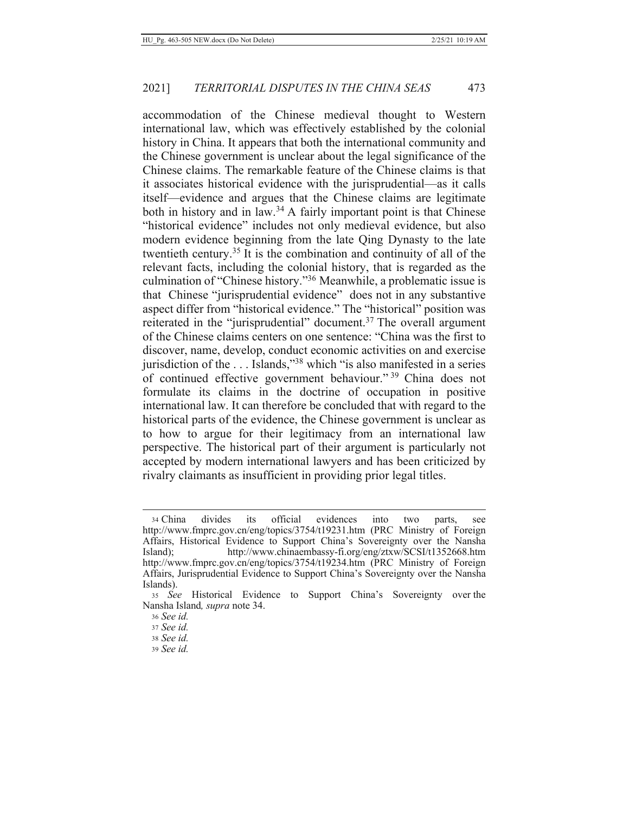accommodation of the Chinese medieval thought to Western international law, which was effectively established by the colonial history in China. It appears that both the international community and the Chinese government is unclear about the legal significance of the Chinese claims. The remarkable feature of the Chinese claims is that it associates historical evidence with the jurisprudential—as it calls itself—evidence and argues that the Chinese claims are legitimate both in history and in law.<sup>34</sup> A fairly important point is that Chinese "historical evidence" includes not only medieval evidence, but also modern evidence beginning from the late Qing Dynasty to the late twentieth century.<sup>35</sup> It is the combination and continuity of all of the relevant facts, including the colonial history, that is regarded as the culmination of "Chinese history."<sup>36</sup> Meanwhile, a problematic issue is that Chinese "jurisprudential evidence" does not in any substantive aspect differ from "historical evidence." The "historical" position was reiterated in the "jurisprudential" document.<sup>37</sup> The overall argument of the Chinese claims centers on one sentence: "China was the first to discover, name, develop, conduct economic activities on and exercise jurisdiction of the . . . Islands,"<sup>38</sup> which "is also manifested in a series of continued effective government behaviour."<sup>39</sup> China does not formulate its claims in the doctrine of occupation in positive international law. It can therefore be concluded that with regard to the historical parts of the evidence, the Chinese government is unclear as to how to argue for their legitimacy from an international law perspective. The historical part of their argument is particularly not accepted by modern international lawyers and has been criticized by rivalry claimants as insufficient in providing prior legal titles.

<sup>34</sup> China divides its official evidences into two parts, see http://www.fmprc.gov.cn/eng/topics/3754/t19231.htm (PRC Ministry of Foreign Affairs, Historical Evidence to Support China's Sovereignty over the Nansha http://www.chinaembassy-fi.org/eng/ztxw/SCSI/t1352668.htm Island); http://www.fmprc.gov.cn/eng/topics/3754/t19234.htm (PRC Ministry of Foreign Affairs, Jurisprudential Evidence to Support China's Sovereignty over the Nansha Islands).

<sup>35</sup> See Historical Evidence to Support China's Sovereignty over the Nansha Island, *supra* note 34.

<sup>36</sup> See id.

<sup>37</sup> See id.

<sup>38</sup> See id.

<sup>39</sup> See id.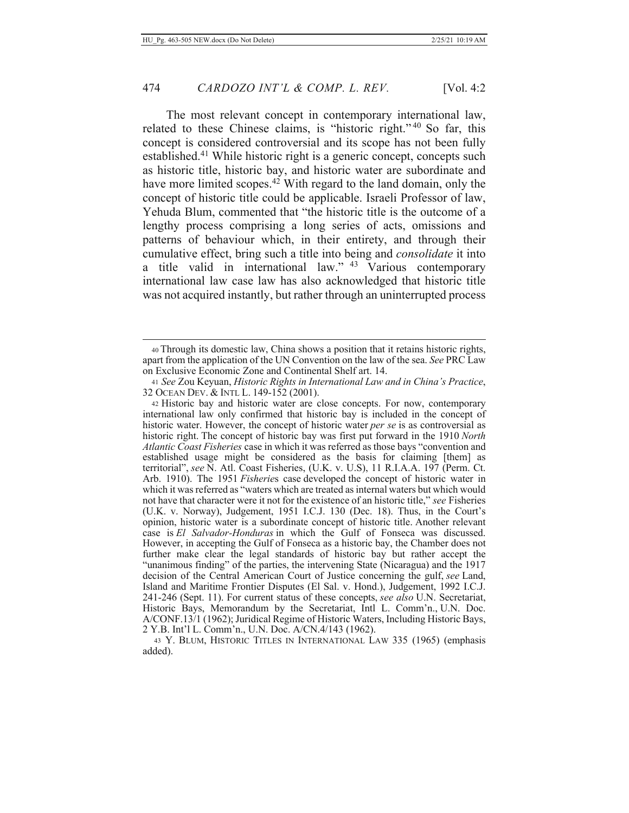The most relevant concept in contemporary international law, related to these Chinese claims, is "historic right."<sup>40</sup> So far, this concept is considered controversial and its scope has not been fully established.<sup>41</sup> While historic right is a generic concept, concepts such as historic title, historic bay, and historic water are subordinate and have more limited scopes.<sup>42</sup> With regard to the land domain, only the concept of historic title could be applicable. Israeli Professor of law, Yehuda Blum, commented that "the historic title is the outcome of a lengthy process comprising a long series of acts, omissions and patterns of behaviour which, in their entirety, and through their cumulative effect, bring such a title into being and *consolidate* it into a title valid in international law." <sup>43</sup> Various contemporary international law case law has also acknowledged that historic title was not acquired instantly, but rather through an uninterrupted process

<sup>40</sup> Through its domestic law, China shows a position that it retains historic rights, apart from the application of the UN Convention on the law of the sea. See PRC Law on Exclusive Economic Zone and Continental Shelf art. 14.

<sup>41</sup> See Zou Keyuan, Historic Rights in International Law and in China's Practice, 32 OCEAN DEV. & INTL L. 149-152 (2001).

<sup>42</sup> Historic bay and historic water are close concepts. For now, contemporary international law only confirmed that historic bay is included in the concept of historic water. However, the concept of historic water *per se* is as controversial as historic right. The concept of historic bay was first put forward in the 1910 North Atlantic Coast Fisheries case in which it was referred as those bays "convention and established usage might be considered as the basis for claiming [them] as territorial", see N. Atl. Coast Fisheries, (U.K. v. U.S), 11 R.I.A.A. 197 (Perm. Ct. Arb. 1910). The 1951 *Fisheries* case developed the concept of historic water in which it was referred as "waters which are treated as internal waters but which would not have that character were it not for the existence of an historic title," see Fisheries (U.K. v. Norway), Judgement, 1951 I.C.J. 130 (Dec. 18). Thus, in the Court's opinion, historic water is a subordinate concept of historic title. Another relevant case is El Salvador-Honduras in which the Gulf of Fonseca was discussed. However, in accepting the Gulf of Fonseca as a historic bay, the Chamber does not further make clear the legal standards of historic bay but rather accept the "unanimous finding" of the parties, the intervening State (Nicaragua) and the 1917 decision of the Central American Court of Justice concerning the gulf, see Land, Island and Maritime Frontier Disputes (El Sal. v. Hond.), Judgement, 1992 I.C.J. 241-246 (Sept. 11). For current status of these concepts, see also U.N. Secretariat, Historic Bays, Memorandum by the Secretariat, Intl L. Comm'n., U.N. Doc. A/CONF.13/1 (1962); Juridical Regime of Historic Waters, Including Historic Bays, 2 Y.B. Int'l L. Comm'n., U.N. Doc. A/CN.4/143 (1962).

<sup>43</sup> Y. BLUM, HISTORIC TITLES IN INTERNATIONAL LAW 335 (1965) (emphasis added).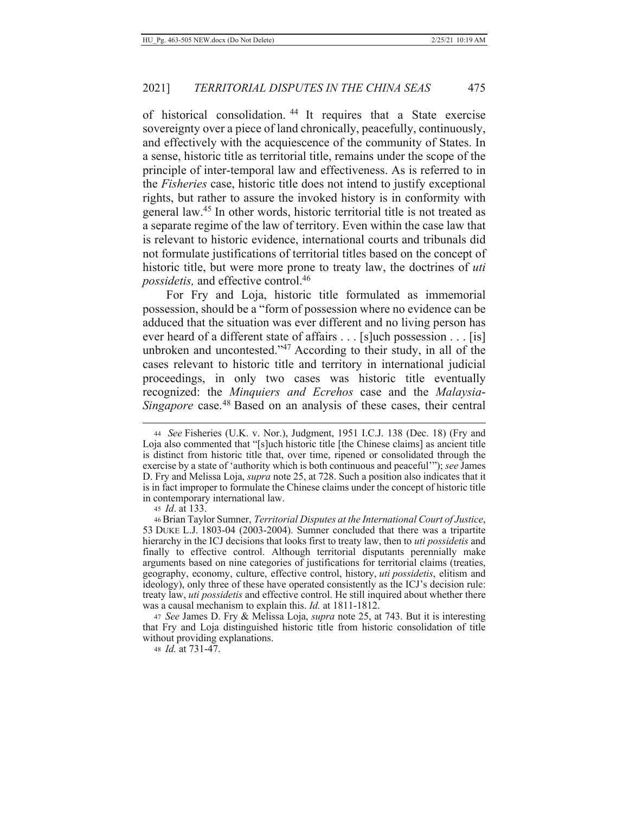of historical consolidation.<sup>44</sup> It requires that a State exercise sovereignty over a piece of land chronically, peacefully, continuously, and effectively with the acquiescence of the community of States. In a sense, historic title as territorial title, remains under the scope of the principle of inter-temporal law and effectiveness. As is referred to in the *Fisheries* case, historic title does not intend to justify exceptional rights, but rather to assure the invoked history is in conformity with general law.<sup>45</sup> In other words, historic territorial title is not treated as a separate regime of the law of territory. Even within the case law that is relevant to historic evidence, international courts and tribunals did not formulate justifications of territorial titles based on the concept of historic title, but were more prone to treaty law, the doctrines of *uti possidetis*, and effective control.<sup>46</sup>

For Fry and Loja, historic title formulated as immemorial possession, should be a "form of possession where no evidence can be adduced that the situation was ever different and no living person has ever heard of a different state of affairs  $\dots$  [s] uch possession  $\dots$  [is] unbroken and uncontested." $47$  According to their study, in all of the cases relevant to historic title and territory in international judicial proceedings, in only two cases was historic title eventually recognized: the *Minquiers and Ecrehos* case and the *Malaysia-*Singapore case.<sup>48</sup> Based on an analysis of these cases, their central

45 *Id.* at 133.

47 See James D. Fry & Melissa Loja, *supra* note 25, at 743. But it is interesting that Fry and Loja distinguished historic title from historic consolidation of title without providing explanations.

48 *Id.* at 731-47.

<sup>44</sup> See Fisheries (U.K. v. Nor.), Judgment, 1951 I.C.J. 138 (Dec. 18) (Fry and Loja also commented that "[s]uch historic title [the Chinese claims] as ancient title is distinct from historic title that, over time, ripened or consolidated through the exercise by a state of 'authority which is both continuous and peaceful'"); see James D. Fry and Melissa Loja, *supra* note 25, at 728. Such a position also indicates that it is in fact improper to formulate the Chinese claims under the concept of historic title in contemporary international law.

<sup>46</sup> Brian Taylor Sumner, Territorial Disputes at the International Court of Justice, 53 DUKE L.J. 1803-04 (2003-2004). Sumner concluded that there was a tripartite hierarchy in the ICJ decisions that looks first to treaty law, then to *uti possidetis* and finally to effective control. Although territorial disputants perennially make arguments based on nine categories of justifications for territorial claims (treaties, geography, economy, culture, effective control, history, uti possidetis, elitism and ideology), only three of these have operated consistently as the ICJ's decision rule: treaty law, *uti possidetis* and effective control. He still inquired about whether there was a causal mechanism to explain this. *Id.* at 1811-1812.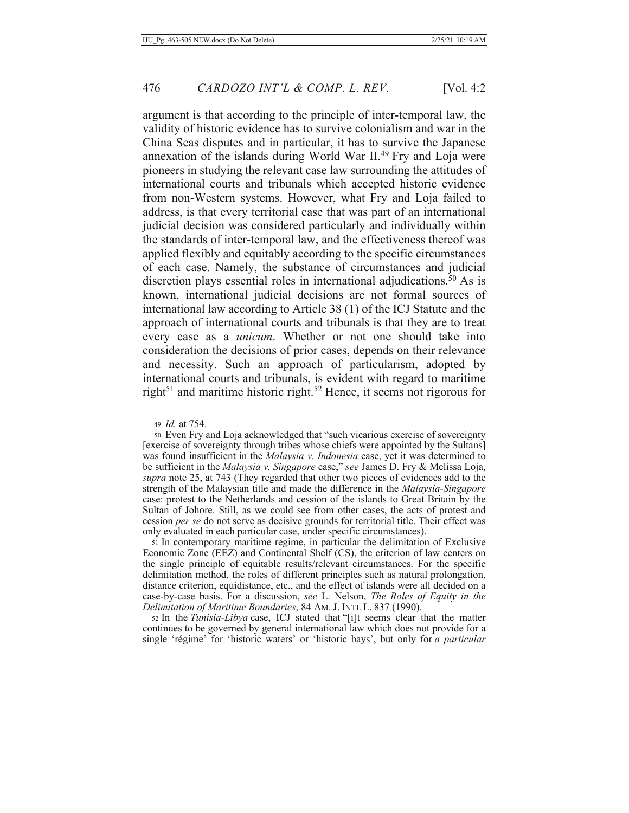argument is that according to the principle of inter-temporal law, the validity of historic evidence has to survive colonialism and war in the China Seas disputes and in particular, it has to survive the Japanese annexation of the islands during World War II.<sup>49</sup> Fry and Loja were pioneers in studying the relevant case law surrounding the attitudes of international courts and tribunals which accepted historic evidence from non-Western systems. However, what Fry and Loja failed to address, is that every territorial case that was part of an international judicial decision was considered particularly and individually within the standards of inter-temporal law, and the effectiveness thereof was applied flexibly and equitably according to the specific circumstances of each case. Namely, the substance of circumstances and judicial discretion plays essential roles in international adjudications.<sup>50</sup> As is known, international judicial decisions are not formal sources of international law according to Article 38 (1) of the ICJ Statute and the approach of international courts and tribunals is that they are to treat every case as a *unicum*. Whether or not one should take into consideration the decisions of prior cases, depends on their relevance and necessity. Such an approach of particularism, adopted by international courts and tribunals, is evident with regard to maritime right<sup>51</sup> and maritime historic right.<sup>52</sup> Hence, it seems not rigorous for

51 In contemporary maritime regime, in particular the delimitation of Exclusive Economic Zone (EEZ) and Continental Shelf (CS), the criterion of law centers on the single principle of equitable results/relevant circumstances. For the specific delimitation method, the roles of different principles such as natural prolongation, distance criterion, equidistance, etc., and the effect of islands were all decided on a case-by-case basis. For a discussion, see L. Nelson, The Roles of Equity in the Delimitation of Maritime Boundaries, 84 AM. J. INTL L. 837 (1990).

52 In the Tunisia-Libya case, ICJ stated that "[i]t seems clear that the matter continues to be governed by general international law which does not provide for a single 'régime' for 'historic waters' or 'historic bays', but only for a particular

<sup>49</sup> Id. at 754.

<sup>50</sup> Even Fry and Loja acknowledged that "such vicarious exercise of sovereignty [exercise of sovereignty through tribes whose chiefs were appointed by the Sultans] was found insufficient in the Malaysia v. Indonesia case, yet it was determined to be sufficient in the Malaysia v. Singapore case," see James D. Fry & Melissa Loja, supra note 25, at 743 (They regarded that other two pieces of evidences add to the strength of the Malaysian title and made the difference in the *Malaysia-Singapore* case: protest to the Netherlands and cession of the islands to Great Britain by the Sultan of Johore. Still, as we could see from other cases, the acts of protest and cession *per se* do not serve as decisive grounds for territorial title. Their effect was only evaluated in each particular case, under specific circumstances).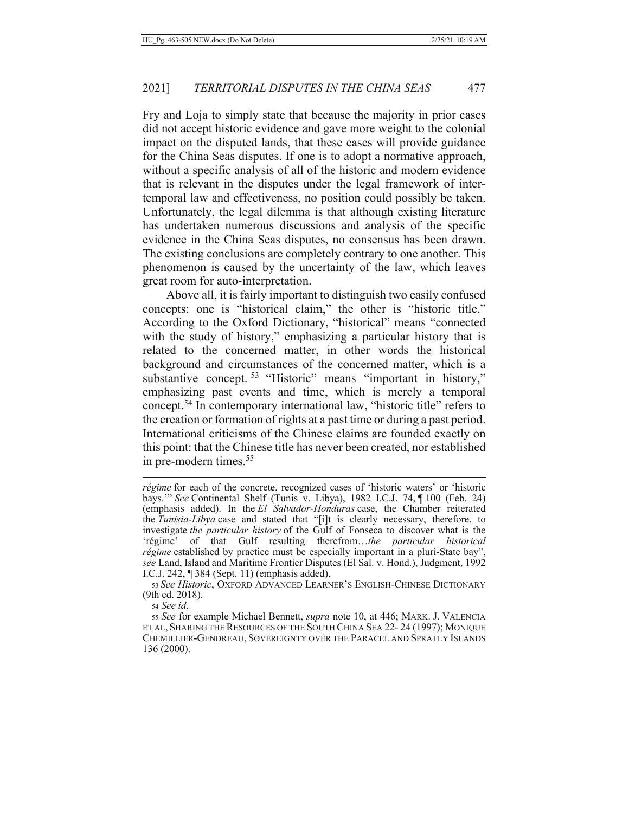Fry and Loja to simply state that because the majority in prior cases did not accept historic evidence and gave more weight to the colonial impact on the disputed lands, that these cases will provide guidance for the China Seas disputes. If one is to adopt a normative approach, without a specific analysis of all of the historic and modern evidence that is relevant in the disputes under the legal framework of intertemporal law and effectiveness, no position could possibly be taken. Unfortunately, the legal dilemma is that although existing literature has undertaken numerous discussions and analysis of the specific evidence in the China Seas disputes, no consensus has been drawn. The existing conclusions are completely contrary to one another. This phenomenon is caused by the uncertainty of the law, which leaves great room for auto-interpretation.

Above all, it is fairly important to distinguish two easily confused concepts: one is "historical claim," the other is "historic title." According to the Oxford Dictionary, "historical" means "connected with the study of history," emphasizing a particular history that is related to the concerned matter, in other words the historical background and circumstances of the concerned matter, which is a substantive concept.<sup>53</sup> "Historic" means "important in history," emphasizing past events and time, which is merely a temporal concept.<sup>54</sup> In contemporary international law, "historic title" refers to the creation or formation of rights at a past time or during a past period. International criticisms of the Chinese claims are founded exactly on this point: that the Chinese title has never been created, nor established in pre-modern times. $55$ 

54 See id.

*fégime* for each of the concrete, recognized cases of 'historic waters' or 'historic bays." See Continental Shelf (Tunis v. Libya), 1982 I.C.J. 74, ¶ 100 (Feb. 24) (emphasis added). In the El Salvador-Honduras case, the Chamber reiterated the Tunisia-Libya case and stated that "[i]t is clearly necessary, therefore, to investigate the particular history of the Gulf of Fonseca to discover what is the 'régime' of that Gulf resulting therefrom...the particular historical régime established by practice must be especially important in a pluri-State bay", see Land, Island and Maritime Frontier Disputes (El Sal. v. Hond.), Judgment, 1992 I.C.J. 242,  $\P$  384 (Sept. 11) (emphasis added).

<sup>53</sup> See Historic, OXFORD ADVANCED LEARNER'S ENGLISH-CHINESE DICTIONARY (9th ed. 2018).

<sup>55</sup> See for example Michael Bennett, *supra* note 10, at 446; MARK. J. VALENCIA ET AL, SHARING THE RESOURCES OF THE SOUTH CHINA SEA 22-24 (1997); MONIQUE CHEMILLIER-GENDREAU, SOVEREIGNTY OVER THE PARACEL AND SPRATLY ISLANDS 136 (2000).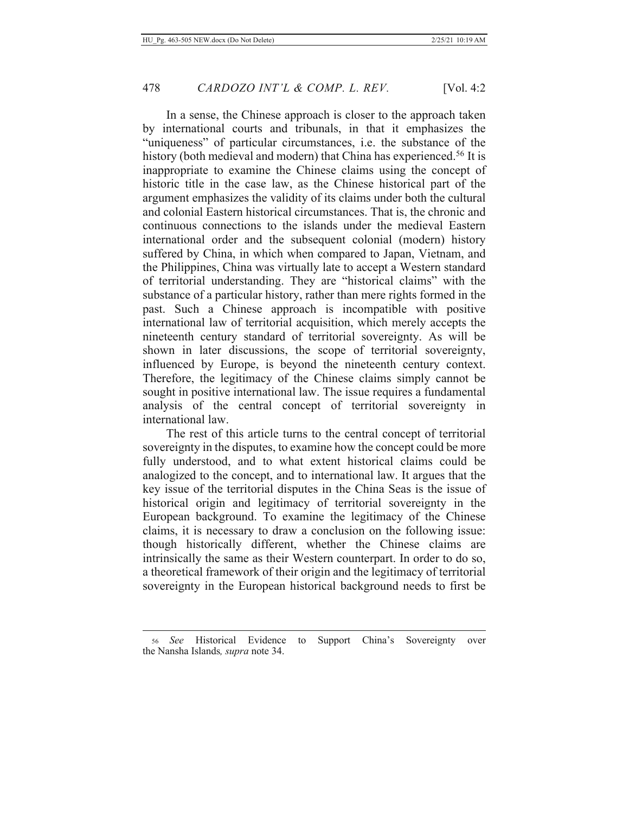In a sense, the Chinese approach is closer to the approach taken by international courts and tribunals, in that it emphasizes the "uniqueness" of particular circumstances, i.e. the substance of the history (both medieval and modern) that China has experienced.<sup>56</sup> It is inappropriate to examine the Chinese claims using the concept of historic title in the case law, as the Chinese historical part of the argument emphasizes the validity of its claims under both the cultural and colonial Eastern historical circumstances. That is, the chronic and continuous connections to the islands under the medieval Eastern international order and the subsequent colonial (modern) history suffered by China, in which when compared to Japan, Vietnam, and the Philippines, China was virtually late to accept a Western standard of territorial understanding. They are "historical claims" with the substance of a particular history, rather than mere rights formed in the past. Such a Chinese approach is incompatible with positive international law of territorial acquisition, which merely accepts the nineteenth century standard of territorial sovereignty. As will be shown in later discussions, the scope of territorial sovereignty, influenced by Europe, is beyond the nineteenth century context. Therefore, the legitimacy of the Chinese claims simply cannot be sought in positive international law. The issue requires a fundamental analysis of the central concept of territorial sovereignty in international law.

The rest of this article turns to the central concept of territorial sovereignty in the disputes, to examine how the concept could be more fully understood, and to what extent historical claims could be analogized to the concept, and to international law. It argues that the key issue of the territorial disputes in the China Seas is the issue of historical origin and legitimacy of territorial sovereignty in the European background. To examine the legitimacy of the Chinese claims, it is necessary to draw a conclusion on the following issue: though historically different, whether the Chinese claims are intrinsically the same as their Western counterpart. In order to do so, a theoretical framework of their origin and the legitimacy of territorial sovereignty in the European historical background needs to first be

<sup>56</sup> See Historical Evidence to Support China's Sovereignty over the Nansha Islands, *supra* note 34.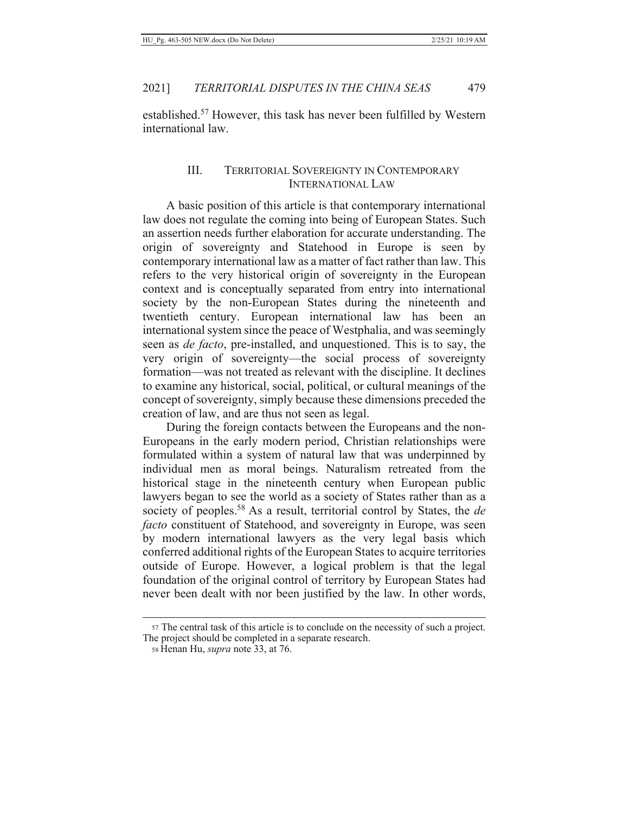established.<sup>57</sup> However, this task has never been fulfilled by Western international law.

#### III. **TERRITORIAL SOVEREIGNTY IN CONTEMPORARY INTERNATIONAL LAW**

A basic position of this article is that contemporary international law does not regulate the coming into being of European States. Such an assertion needs further elaboration for accurate understanding. The origin of sovereignty and Statehood in Europe is seen by contemporary international law as a matter of fact rather than law. This refers to the very historical origin of sovereignty in the European context and is conceptually separated from entry into international society by the non-European States during the nineteenth and twentieth century. European international law has been an international system since the peace of Westphalia, and was seemingly seen as *de facto*, pre-installed, and unquestioned. This is to say, the very origin of sovereignty—the social process of sovereignty formation—was not treated as relevant with the discipline. It declines to examine any historical, social, political, or cultural meanings of the concept of sovereignty, simply because these dimensions preceded the creation of law, and are thus not seen as legal.

During the foreign contacts between the Europeans and the non-Europeans in the early modern period, Christian relationships were formulated within a system of natural law that was underpinned by individual men as moral beings. Naturalism retreated from the historical stage in the nineteenth century when European public lawyers began to see the world as a society of States rather than as a society of peoples.<sup>58</sup> As a result, territorial control by States, the *de facto* constituent of Statehood, and sovereignty in Europe, was seen by modern international lawyers as the very legal basis which conferred additional rights of the European States to acquire territories outside of Europe. However, a logical problem is that the legal foundation of the original control of territory by European States had never been dealt with nor been justified by the law. In other words,

<sup>57</sup> The central task of this article is to conclude on the necessity of such a project. The project should be completed in a separate research.

<sup>58</sup> Henan Hu, *supra* note 33, at 76.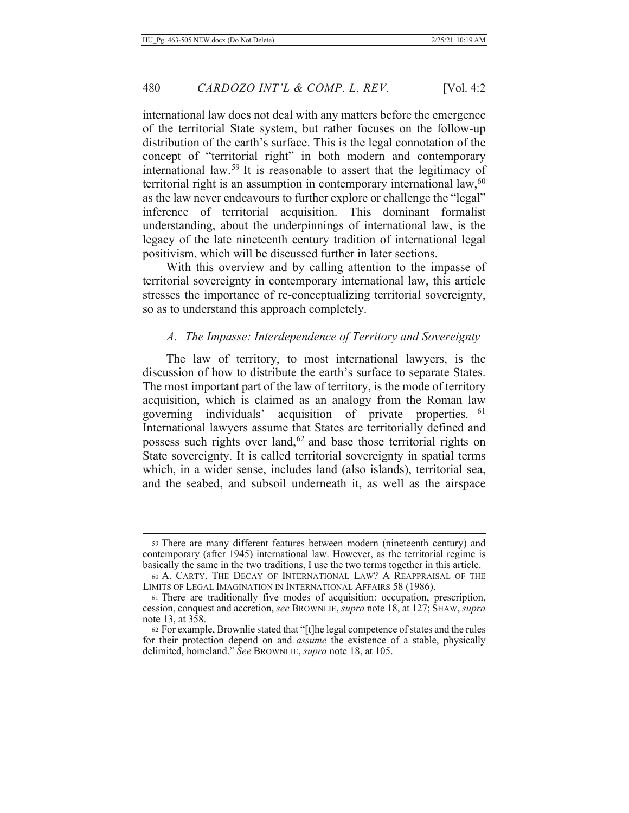480

international law does not deal with any matters before the emergence of the territorial State system, but rather focuses on the follow-up distribution of the earth's surface. This is the legal connotation of the concept of "territorial right" in both modern and contemporary international law.<sup>59</sup> It is reasonable to assert that the legitimacy of territorial right is an assumption in contemporary international  $law, <sup>60</sup>$ as the law never endeavours to further explore or challenge the "legal" inference of territorial acquisition. This dominant formalist understanding, about the underpinnings of international law, is the legacy of the late nineteenth century tradition of international legal positivism, which will be discussed further in later sections.

With this overview and by calling attention to the impasse of territorial sovereignty in contemporary international law, this article stresses the importance of re-conceptualizing territorial sovereignty, so as to understand this approach completely.

#### A. The Impasse: Interdependence of Territory and Sovereignty

The law of territory, to most international lawyers, is the discussion of how to distribute the earth's surface to separate States. The most important part of the law of territory, is the mode of territory acquisition, which is claimed as an analogy from the Roman law governing individuals' acquisition of private properties. 61 International lawyers assume that States are territorially defined and possess such rights over land,<sup>62</sup> and base those territorial rights on State sovereignty. It is called territorial sovereignty in spatial terms which, in a wider sense, includes land (also islands), territorial sea, and the seabed, and subsoil underneath it, as well as the airspace

<sup>59</sup> There are many different features between modern (nineteenth century) and contemporary (after 1945) international law. However, as the territorial regime is basically the same in the two traditions, I use the two terms together in this article.

<sup>60</sup> A. CARTY, THE DECAY OF INTERNATIONAL LAW? A REAPPRAISAL OF THE LIMITS OF LEGAL IMAGINATION IN INTERNATIONAL AFFAIRS 58 (1986).

<sup>61</sup> There are traditionally five modes of acquisition: occupation, prescription, cession, conquest and accretion, see BROWNLIE, supra note 18, at 127; SHAW, supra note 13, at 358.

<sup>62</sup> For example, Brownlie stated that "[t]he legal competence of states and the rules for their protection depend on and *assume* the existence of a stable, physically delimited, homeland." See BROWNLIE, *supra* note 18, at 105.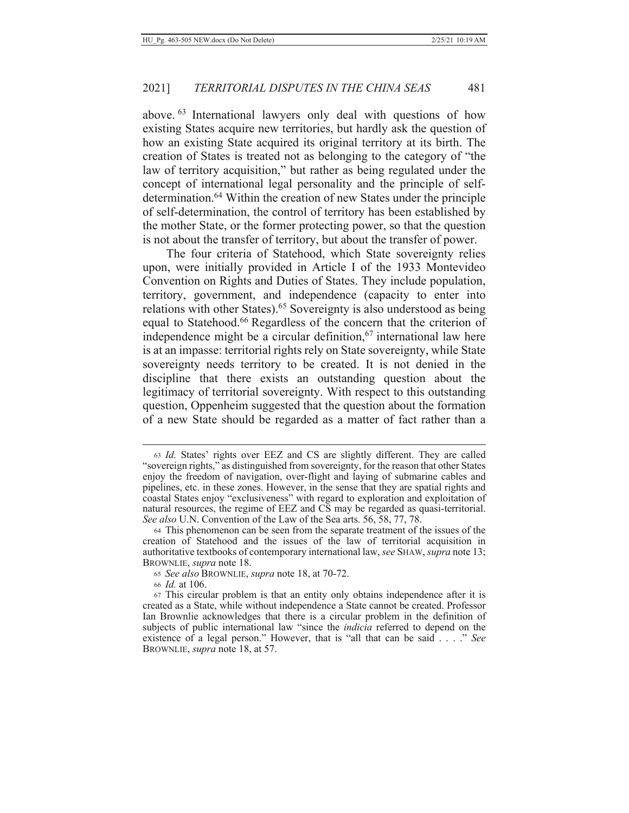above. <sup>63</sup> International lawyers only deal with questions of how existing States acquire new territories, but hardly ask the question of how an existing State acquired its original territory at its birth. The creation of States is treated not as belonging to the category of "the law of territory acquisition," but rather as being regulated under the concept of international legal personality and the principle of selfdetermination.<sup>64</sup> Within the creation of new States under the principle of self-determination, the control of territory has been established by the mother State, or the former protecting power, so that the question is not about the transfer of territory, but about the transfer of power.

The four criteria of Statehood, which State sovereignty relies upon, were initially provided in Article I of the 1933 Montevideo Convention on Rights and Duties of States. They include population, territory, government, and independence (capacity to enter into relations with other States).<sup>65</sup> Sovereignty is also understood as being equal to Statehood.<sup>66</sup> Regardless of the concern that the criterion of independence might be a circular definition,  $67$  international law here is at an impasse: territorial rights rely on State sovereignty, while State sovereignty needs territory to be created. It is not denied in the discipline that there exists an outstanding question about the legitimacy of territorial sovereignty. With respect to this outstanding question, Oppenheim suggested that the question about the formation of a new State should be regarded as a matter of fact rather than a

<sup>63</sup> Id. States' rights over EEZ and CS are slightly different. They are called "sovereign rights," as distinguished from sovereignty, for the reason that other States enjoy the freedom of navigation, over-flight and laying of submarine cables and pipelines, etc. in these zones. However, in the sense that they are spatial rights and coastal States enjoy "exclusiveness" with regard to exploration and exploitation of natural resources, the regime of EEZ and CS may be regarded as quasi-territorial. *See also* U.N. Convention of the Law of the Sea arts. 56, 58, 77, 78.

<sup>64</sup> This phenomenon can be seen from the separate treatment of the issues of the creation of Statehood and the issues of the law of territorial acquisition in authoritative textbooks of contemporary international law, see SHAW, supra note 13; BROWNLIE, *supra* note 18.

<sup>65</sup> See also BROWNLIE, supra note 18, at 70-72.

<sup>66</sup> *Id.* at 106.

<sup>67</sup> This circular problem is that an entity only obtains independence after it is created as a State, while without independence a State cannot be created. Professor Ian Brownlie acknowledges that there is a circular problem in the definition of subjects of public international law "since the *indicia* referred to depend on the existence of a legal person." However, that is "all that can be said . . . ." See BROWNLIE, *supra* note 18, at 57.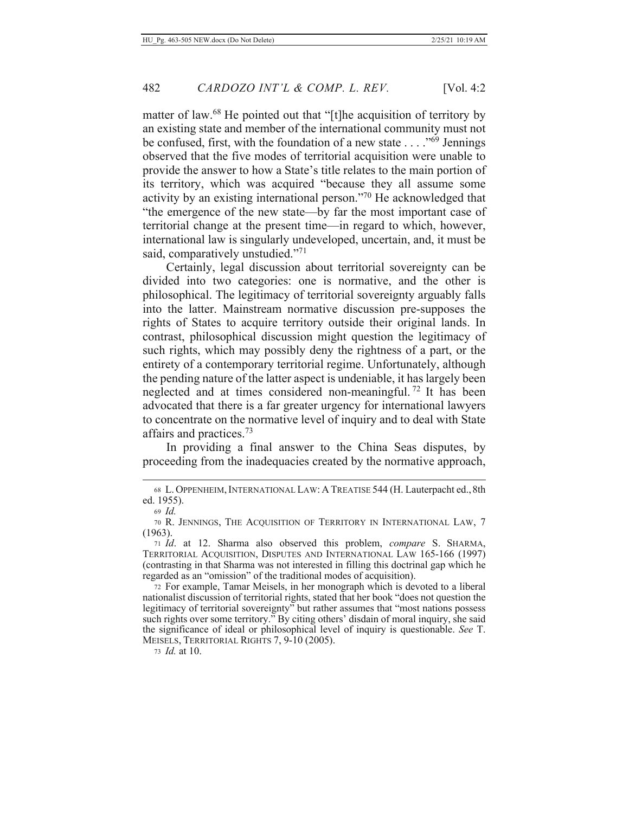matter of law.<sup>68</sup> He pointed out that "[t]he acquisition of territory by an existing state and member of the international community must not be confused, first, with the foundation of a new state  $\ldots$ <sup>569</sup> Jennings observed that the five modes of territorial acquisition were unable to provide the answer to how a State's title relates to the main portion of its territory, which was acquired "because they all assume some activity by an existing international person."<sup>70</sup> He acknowledged that "the emergence of the new state—by far the most important case of territorial change at the present time—in regard to which, however, international law is singularly undeveloped, uncertain, and, it must be said, comparatively unstudied."<sup>71</sup>

Certainly, legal discussion about territorial sovereignty can be divided into two categories: one is normative, and the other is philosophical. The legitimacy of territorial sovereignty arguably falls into the latter. Mainstream normative discussion pre-supposes the rights of States to acquire territory outside their original lands. In contrast, philosophical discussion might question the legitimacy of such rights, which may possibly deny the rightness of a part, or the entirety of a contemporary territorial regime. Unfortunately, although the pending nature of the latter aspect is undeniable, it has largely been neglected and at times considered non-meaningful.<sup>72</sup> It has been advocated that there is a far greater urgency for international lawyers to concentrate on the normative level of inquiry and to deal with State affairs and practices. $73$ 

In providing a final answer to the China Seas disputes, by proceeding from the inadequacies created by the normative approach,

73 *Id.* at 10.

<sup>68</sup> L. OPPENHEIM, INTERNATIONAL LAW: A TREATISE 544 (H. Lauterpacht ed., 8th ed. 1955).

 $69$  *Id.* 

<sup>70</sup> R. JENNINGS, THE ACQUISITION OF TERRITORY IN INTERNATIONAL LAW, 7  $(1963).$ 

<sup>71</sup> *Id.* at 12. Sharma also observed this problem, compare S. SHARMA, TERRITORIAL ACQUISITION, DISPUTES AND INTERNATIONAL LAW 165-166 (1997) (contrasting in that Sharma was not interested in filling this doctrinal gap which he regarded as an "omission" of the traditional modes of acquisition).

<sup>72</sup> For example, Tamar Meisels, in her monograph which is devoted to a liberal nationalist discussion of territorial rights, stated that her book "does not question the legitimacy of territorial sovereignty" but rather assumes that "most nations possess such rights over some territory." By citing others' disdain of moral inquiry, she said the significance of ideal or philosophical level of inquiry is questionable. See T. MEISELS, TERRITORIAL RIGHTS 7, 9-10 (2005).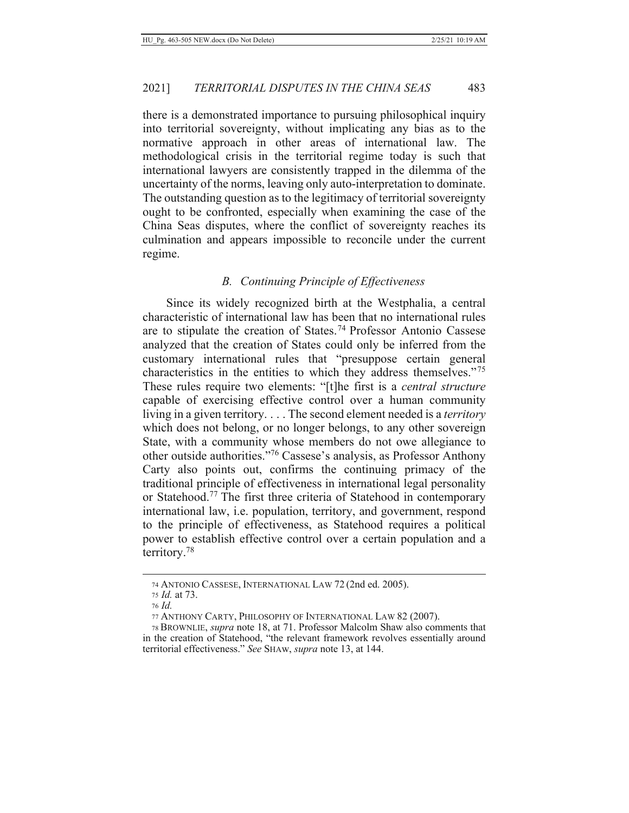there is a demonstrated importance to pursuing philosophical inquiry into territorial sovereignty, without implicating any bias as to the normative approach in other areas of international law. The methodological crisis in the territorial regime today is such that international lawyers are consistently trapped in the dilemma of the uncertainty of the norms, leaving only auto-interpretation to dominate. The outstanding question as to the legitimacy of territorial sovereignty ought to be confronted, especially when examining the case of the China Seas disputes, where the conflict of sovereignty reaches its culmination and appears impossible to reconcile under the current regime.

#### **B.** Continuing Principle of Effectiveness

Since its widely recognized birth at the Westphalia, a central characteristic of international law has been that no international rules are to stipulate the creation of States.<sup>74</sup> Professor Antonio Cassese analyzed that the creation of States could only be inferred from the customary international rules that "presuppose certain general characteristics in the entities to which they address themselves."<sup>75</sup> These rules require two elements: "[t]he first is a *central structure* capable of exercising effective control over a human community living in a given territory.... The second element needed is a *territory* which does not belong, or no longer belongs, to any other sovereign State, with a community whose members do not owe allegiance to other outside authorities."76 Cassese's analysis, as Professor Anthony Carty also points out, confirms the continuing primacy of the traditional principle of effectiveness in international legal personality or Statehood.<sup>77</sup> The first three criteria of Statehood in contemporary international law, i.e. population, territory, and government, respond to the principle of effectiveness, as Statehood requires a political power to establish effective control over a certain population and a territory.<sup>78</sup>

<sup>74</sup> ANTONIO CASSESE, INTERNATIONAL LAW 72 (2nd ed. 2005).

<sup>75</sup> *Id.* at 73.

<sup>76</sup> Id.

<sup>77</sup> ANTHONY CARTY, PHILOSOPHY OF INTERNATIONAL LAW 82 (2007).

<sup>78</sup> BROWNLIE, supra note 18, at 71. Professor Malcolm Shaw also comments that in the creation of Statehood, "the relevant framework revolves essentially around territorial effectiveness." See SHAW, supra note 13, at 144.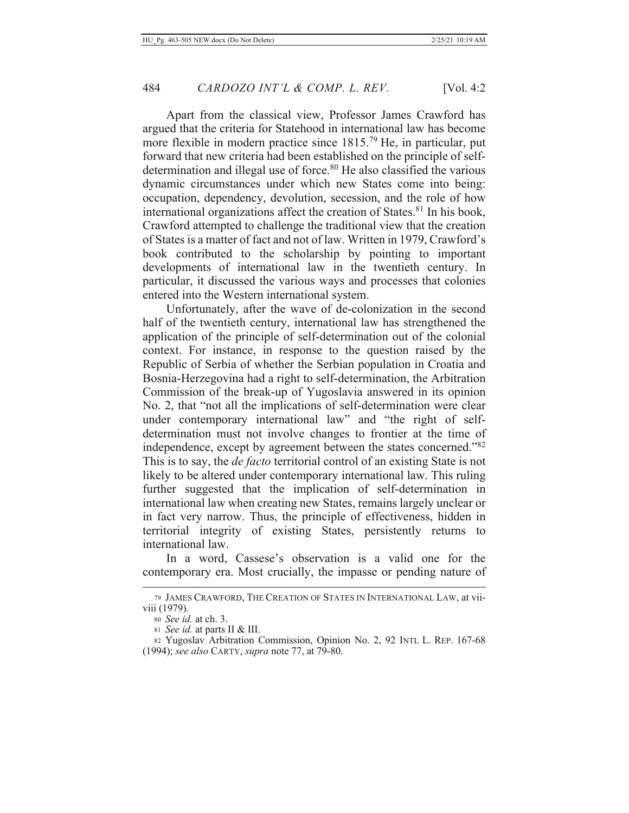Apart from the classical view, Professor James Crawford has argued that the criteria for Statehood in international law has become more flexible in modern practice since 1815.<sup>79</sup> He, in particular, put forward that new criteria had been established on the principle of selfdetermination and illegal use of force.<sup>80</sup> He also classified the various dynamic circumstances under which new States come into being: occupation, dependency, devolution, secession, and the role of how international organizations affect the creation of States.<sup>81</sup> In his book, Crawford attempted to challenge the traditional view that the creation of States is a matter of fact and not of law. Written in 1979, Crawford's book contributed to the scholarship by pointing to important developments of international law in the twentieth century. In particular, it discussed the various ways and processes that colonies entered into the Western international system.

Unfortunately, after the wave of de-colonization in the second half of the twentieth century, international law has strengthened the application of the principle of self-determination out of the colonial context. For instance, in response to the question raised by the Republic of Serbia of whether the Serbian population in Croatia and Bosnia-Herzegovina had a right to self-determination, the Arbitration Commission of the break-up of Yugoslavia answered in its opinion No. 2, that "not all the implications of self-determination were clear under contemporary international law" and "the right of selfdetermination must not involve changes to frontier at the time of independence, except by agreement between the states concerned."82 This is to say, the *de facto* territorial control of an existing State is not likely to be altered under contemporary international law. This ruling further suggested that the implication of self-determination in international law when creating new States, remains largely unclear or in fact very narrow. Thus, the principle of effectiveness, hidden in territorial integrity of existing States, persistently returns to international law.

In a word, Cassese's observation is a valid one for the contemporary era. Most crucially, the impasse or pending nature of

<sup>79</sup> JAMES CRAWFORD, THE CREATION OF STATES IN INTERNATIONAL LAW, at viiviii (1979).

<sup>80</sup> See id. at ch. 3.

<sup>81</sup> See id. at parts II & III.

<sup>82</sup> Yugoslav Arbitration Commission, Opinion No. 2, 92 INTL L. REP. 167-68 (1994); see also CARTY, supra note 77, at 79-80.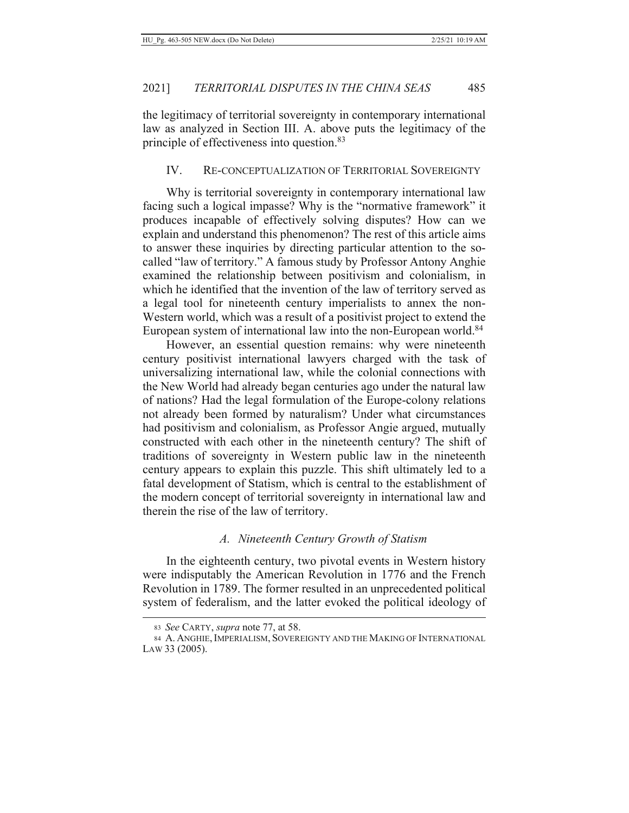the legitimacy of territorial sovereignty in contemporary international law as analyzed in Section III. A. above puts the legitimacy of the principle of effectiveness into question.<sup>83</sup>

## IV. RE-CONCEPTUALIZATION OF TERRITORIAL SOVEREIGNTY

Why is territorial sovereignty in contemporary international law facing such a logical impasse? Why is the "normative framework" it produces incapable of effectively solving disputes? How can we explain and understand this phenomenon? The rest of this article aims to answer these inquiries by directing particular attention to the socalled "law of territory." A famous study by Professor Antony Anghie examined the relationship between positivism and colonialism, in which he identified that the invention of the law of territory served as a legal tool for nineteenth century imperialists to annex the non-Western world, which was a result of a positivist project to extend the European system of international law into the non-European world.<sup>84</sup>

However, an essential question remains: why were nineteenth century positivist international lawyers charged with the task of universalizing international law, while the colonial connections with the New World had already began centuries ago under the natural law of nations? Had the legal formulation of the Europe-colony relations not already been formed by naturalism? Under what circumstances had positivism and colonialism, as Professor Angie argued, mutually constructed with each other in the nineteenth century? The shift of traditions of sovereignty in Western public law in the nineteenth century appears to explain this puzzle. This shift ultimately led to a fatal development of Statism, which is central to the establishment of the modern concept of territorial sovereignty in international law and therein the rise of the law of territory.

## A. Nineteenth Century Growth of Statism

In the eighteenth century, two pivotal events in Western history were indisputably the American Revolution in 1776 and the French Revolution in 1789. The former resulted in an unprecedented political system of federalism, and the latter evoked the political ideology of

<sup>83</sup> See CARTY, *supra* note 77, at 58.

<sup>84</sup> A. ANGHIE, IMPERIALISM, SOVEREIGNTY AND THE MAKING OF INTERNATIONAL  $Law 33 (2005).$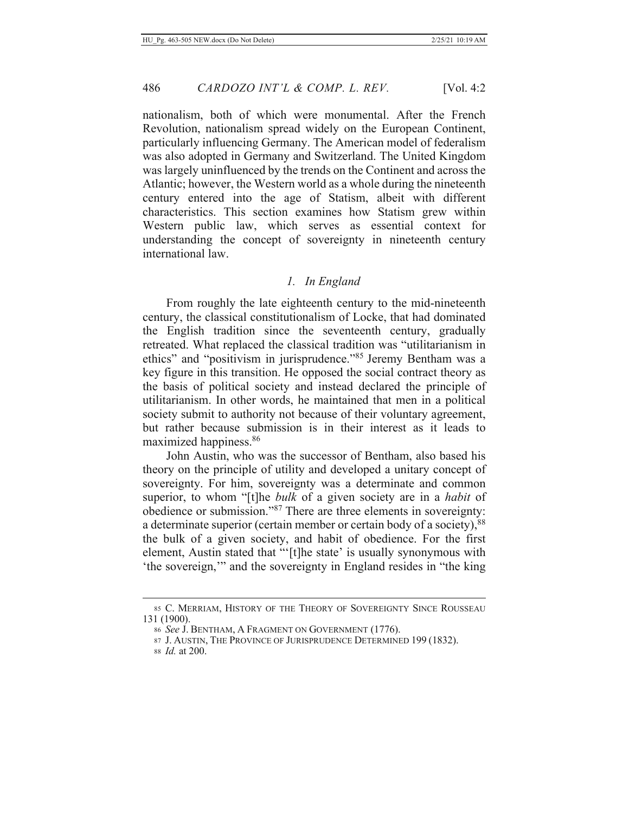nationalism, both of which were monumental. After the French Revolution, nationalism spread widely on the European Continent, particularly influencing Germany. The American model of federalism was also adopted in Germany and Switzerland. The United Kingdom was largely uninfluenced by the trends on the Continent and across the Atlantic; however, the Western world as a whole during the nineteenth century entered into the age of Statism, albeit with different characteristics. This section examines how Statism grew within Western public law, which serves as essential context for understanding the concept of sovereignty in nineteenth century international law.

#### 1. In England

From roughly the late eighteenth century to the mid-nineteenth century, the classical constitutionalism of Locke, that had dominated the English tradition since the seventeenth century, gradually retreated. What replaced the classical tradition was "utilitarianism in ethics" and "positivism in jurisprudence."<sup>85</sup> Jeremy Bentham was a key figure in this transition. He opposed the social contract theory as the basis of political society and instead declared the principle of utilitarianism. In other words, he maintained that men in a political society submit to authority not because of their voluntary agreement, but rather because submission is in their interest as it leads to maximized happiness.<sup>86</sup>

John Austin, who was the successor of Bentham, also based his theory on the principle of utility and developed a unitary concept of sovereignty. For him, sovereignty was a determinate and common superior, to whom "[t]he bulk of a given society are in a habit of obedience or submission."<sup>87</sup> There are three elements in sovereignty: a determinate superior (certain member or certain body of a society), <sup>88</sup> the bulk of a given society, and habit of obedience. For the first element, Austin stated that "'[t]he state' is usually synonymous with 'the sovereign," and the sovereignty in England resides in "the king

<sup>85</sup> C. MERRIAM, HISTORY OF THE THEORY OF SOVEREIGNTY SINCE ROUSSEAU 131 (1900).

<sup>86</sup> See J. BENTHAM, A FRAGMENT ON GOVERNMENT (1776).

<sup>87</sup> J. AUSTIN, THE PROVINCE OF JURISPRUDENCE DETERMINED 199 (1832).

<sup>88</sup> *Id.* at 200.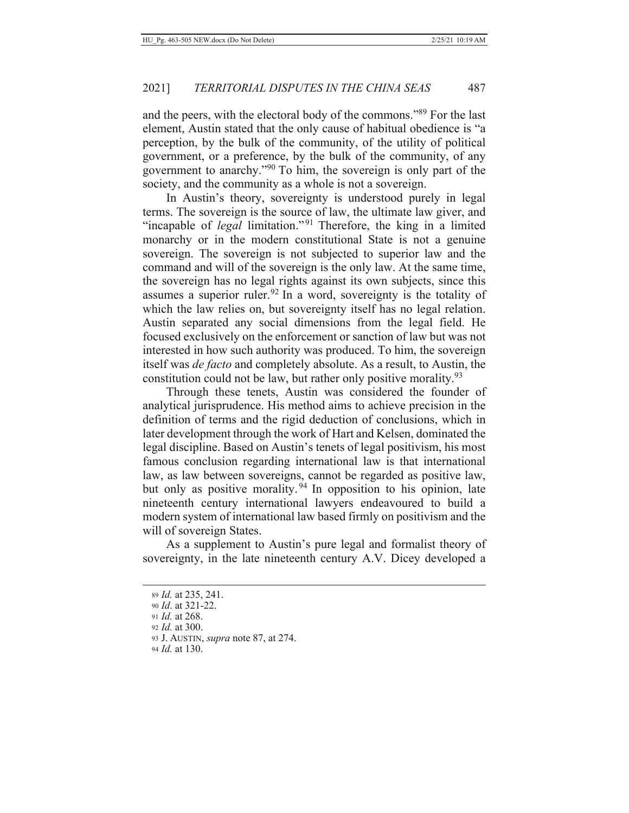and the peers, with the electoral body of the commons."<sup>89</sup> For the last element, Austin stated that the only cause of habitual obedience is "a perception, by the bulk of the community, of the utility of political government, or a preference, by the bulk of the community, of any government to anarchy."<sup>90</sup> To him, the sovereign is only part of the society, and the community as a whole is not a sovereign.

In Austin's theory, sovereignty is understood purely in legal terms. The sovereign is the source of law, the ultimate law giver, and "incapable of *legal* limitation."<sup>91</sup> Therefore, the king in a limited monarchy or in the modern constitutional State is not a genuine sovereign. The sovereign is not subjected to superior law and the command and will of the sovereign is the only law. At the same time, the sovereign has no legal rights against its own subjects, since this assumes a superior ruler.<sup>92</sup> In a word, sovereignty is the totality of which the law relies on, but sovereignty itself has no legal relation. Austin separated any social dimensions from the legal field. He focused exclusively on the enforcement or sanction of law but was not interested in how such authority was produced. To him, the sovereign itself was *de facto* and completely absolute. As a result, to Austin, the constitution could not be law, but rather only positive morality.<sup>93</sup>

Through these tenets, Austin was considered the founder of analytical jurisprudence. His method aims to achieve precision in the definition of terms and the rigid deduction of conclusions, which in later development through the work of Hart and Kelsen, dominated the legal discipline. Based on Austin's tenets of legal positivism, his most famous conclusion regarding international law is that international law, as law between sovereigns, cannot be regarded as positive law, but only as positive morality.<sup>94</sup> In opposition to his opinion, late nineteenth century international lawyers endeavoured to build a modern system of international law based firmly on positivism and the will of sovereign States.

As a supplement to Austin's pure legal and formalist theory of sovereignty, in the late nineteenth century A.V. Dicey developed a

94 *Id.* at 130.

<sup>89</sup> *Id.* at 235, 241.

<sup>90</sup> Id. at 321-22.

<sup>91</sup> Id. at 268.

<sup>92</sup> Id. at 300.

<sup>93</sup> J. AUSTIN, *supra* note 87, at 274.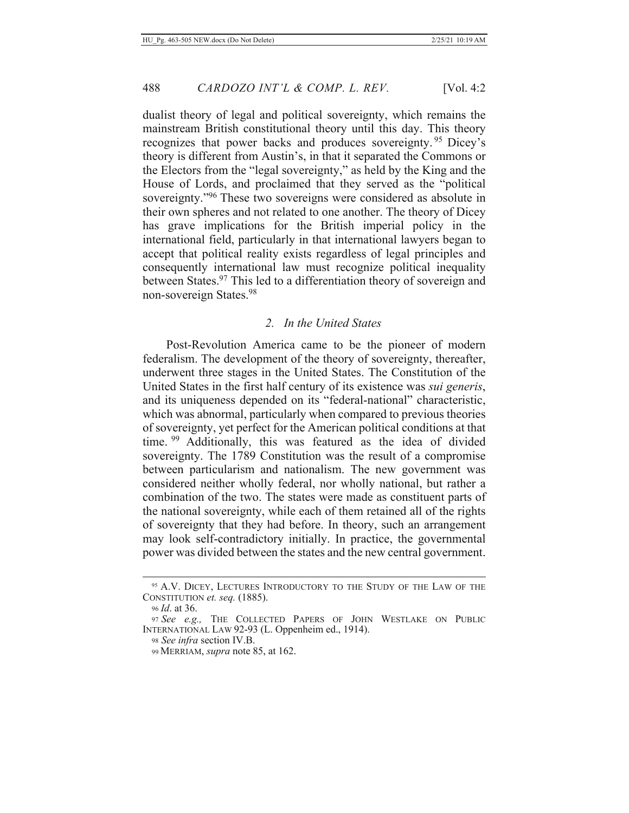dualist theory of legal and political sovereignty, which remains the mainstream British constitutional theory until this day. This theory recognizes that power backs and produces sovereignty.<sup>95</sup> Dicey's theory is different from Austin's, in that it separated the Commons or the Electors from the "legal sovereignty," as held by the King and the House of Lords, and proclaimed that they served as the "political" sovereignty."<sup>96</sup> These two sovereigns were considered as absolute in their own spheres and not related to one another. The theory of Dicey has grave implications for the British imperial policy in the international field, particularly in that international lawyers began to accept that political reality exists regardless of legal principles and consequently international law must recognize political inequality between States.<sup>97</sup> This led to a differentiation theory of sovereign and non-sovereign States.<sup>98</sup>

## 2. In the United States

Post-Revolution America came to be the pioneer of modern federalism. The development of the theory of sovereignty, thereafter, underwent three stages in the United States. The Constitution of the United States in the first half century of its existence was *sui generis*, and its uniqueness depended on its "federal-national" characteristic, which was abnormal, particularly when compared to previous theories of sovereignty, yet perfect for the American political conditions at that time. <sup>99</sup> Additionally, this was featured as the idea of divided sovereignty. The 1789 Constitution was the result of a compromise between particularism and nationalism. The new government was considered neither wholly federal, nor wholly national, but rather a combination of the two. The states were made as constituent parts of the national sovereignty, while each of them retained all of the rights of sovereignty that they had before. In theory, such an arrangement may look self-contradictory initially. In practice, the governmental power was divided between the states and the new central government.

<sup>&</sup>lt;sup>95</sup> A.V. DICEY, LECTURES INTRODUCTORY TO THE STUDY OF THE LAW OF THE **CONSTITUTION** et. seq. (1885).

<sup>96</sup> *Id.* at 36.

<sup>97</sup> See e.g., THE COLLECTED PAPERS OF JOHN WESTLAKE ON PUBLIC INTERNATIONAL LAW 92-93 (L. Oppenheim ed., 1914).

<sup>98</sup> See infra section IV.B.

<sup>99</sup> MERRIAM, *supra* note 85, at 162.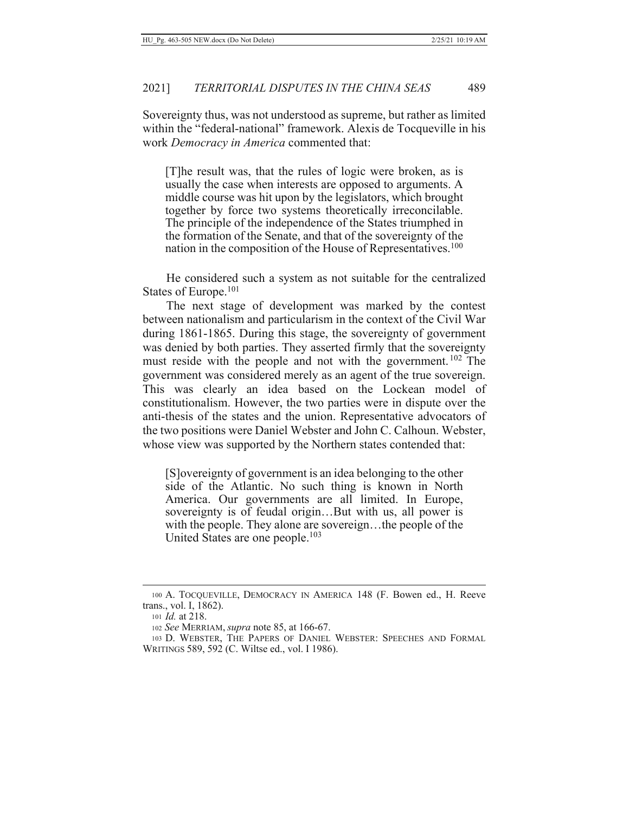Sovereignty thus, was not understood as supreme, but rather as limited within the "federal-national" framework. Alexis de Tocqueville in his work Democracy in America commented that:

[T]he result was, that the rules of logic were broken, as is usually the case when interests are opposed to arguments. A middle course was hit upon by the legislators, which brought together by force two systems theoretically irreconcilable. The principle of the independence of the States triumphed in the formation of the Senate, and that of the sovereignty of the nation in the composition of the House of Representatives.<sup>100</sup>

He considered such a system as not suitable for the centralized States of Europe.<sup>101</sup>

The next stage of development was marked by the contest between nationalism and particularism in the context of the Civil War during  $1861-1865$ . During this stage, the sovereignty of government was denied by both parties. They asserted firmly that the sovereignty must reside with the people and not with the government.<sup>102</sup> The government was considered merely as an agent of the true sovereign. This was clearly an idea based on the Lockean model of constitutionalism. However, the two parties were in dispute over the anti-thesis of the states and the union. Representative advocators of the two positions were Daniel Webster and John C. Calhoun. Webster, whose view was supported by the Northern states contended that:

[S] overeignty of government is an idea belonging to the other side of the Atlantic. No such thing is known in North America. Our governments are all limited. In Europe, sovereignty is of feudal origin...But with us, all power is with the people. They alone are sovereign...the people of the United States are one people.<sup>103</sup>

<sup>100</sup> A. TOCQUEVILLE, DEMOCRACY IN AMERICA 148 (F. Bowen ed., H. Reeve trans., vol. I, 1862).

<sup>101</sup> *Id.* at 218.

<sup>102</sup> See MERRIAM, *supra* note 85, at 166-67.

<sup>103</sup> D. WEBSTER, THE PAPERS OF DANIEL WEBSTER: SPEECHES AND FORMAL WRITINGS 589, 592 (C. Wiltse ed., vol. I 1986).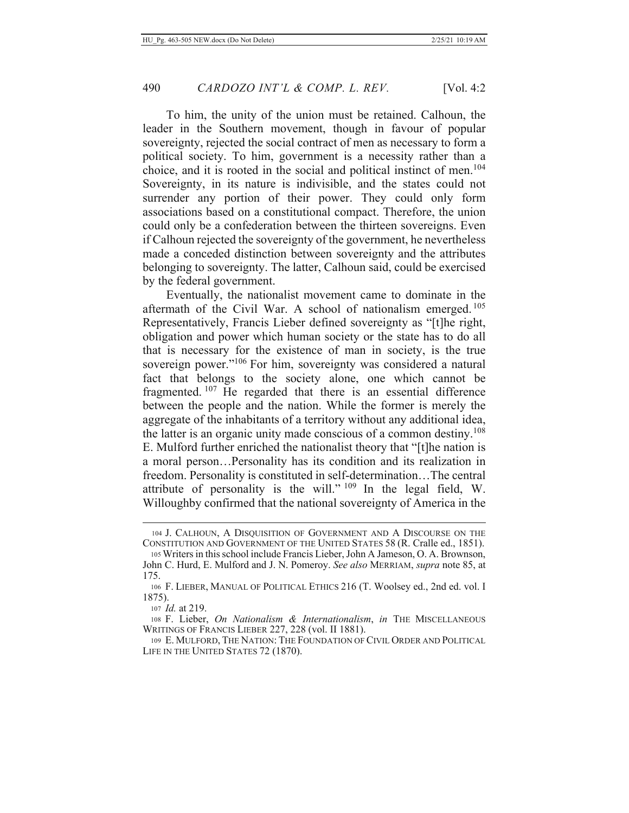To him, the unity of the union must be retained. Calhoun, the leader in the Southern movement, though in favour of popular sovereignty, rejected the social contract of men as necessary to form a political society. To him, government is a necessity rather than a choice, and it is rooted in the social and political instinct of men.<sup>104</sup> Sovereignty, in its nature is indivisible, and the states could not surrender any portion of their power. They could only form associations based on a constitutional compact. Therefore, the union could only be a confederation between the thirteen sovereigns. Even if Calhoun rejected the sovereignty of the government, he nevertheless made a conceded distinction between sovereignty and the attributes belonging to sovereignty. The latter, Calhoun said, could be exercised by the federal government.

Eventually, the nationalist movement came to dominate in the aftermath of the Civil War. A school of nationalism emerged.<sup>105</sup> Representatively, Francis Lieber defined sovereignty as "[t] he right, obligation and power which human society or the state has to do all that is necessary for the existence of man in society, is the true sovereign power."<sup>106</sup> For him, sovereignty was considered a natural fact that belongs to the society alone, one which cannot be fragmented.<sup>107</sup> He regarded that there is an essential difference between the people and the nation. While the former is merely the aggregate of the inhabitants of a territory without any additional idea, the latter is an organic unity made conscious of a common destiny.<sup>108</sup> E. Mulford further enriched the nationalist theory that "[t]he nation is a moral person...Personality has its condition and its realization in freedom. Personality is constituted in self-determination...The central attribute of personality is the will." 109 In the legal field, W. Willoughby confirmed that the national sovereignty of America in the

<sup>104</sup> J. CALHOUN, A DISOUISITION OF GOVERNMENT AND A DISCOURSE ON THE CONSTITUTION AND GOVERNMENT OF THE UNITED STATES 58 (R. Cralle ed., 1851).

<sup>105</sup> Writers in this school include Francis Lieber, John A Jameson, O. A. Brownson, John C. Hurd, E. Mulford and J. N. Pomeroy. See also MERRIAM, supra note 85, at 175.

<sup>106</sup> F. LIEBER, MANUAL OF POLITICAL ETHICS 216 (T. Woolsey ed., 2nd ed. vol. I  $1875$ ).

<sup>107</sup> Id. at 219.

<sup>108</sup> F. Lieber, On Nationalism & Internationalism, in THE MISCELLANEOUS WRITINGS OF FRANCIS LIEBER 227, 228 (vol. II 1881).

<sup>109</sup> E. MULFORD, THE NATION: THE FOUNDATION OF CIVIL ORDER AND POLITICAL LIFE IN THE UNITED STATES 72 (1870).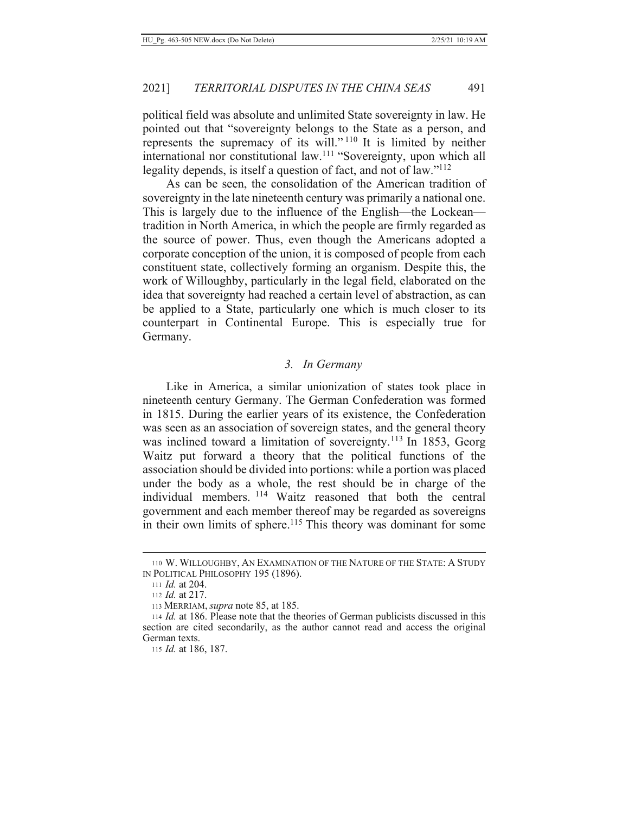political field was absolute and unlimited State sovereignty in law. He pointed out that "sovereignty belongs to the State as a person, and represents the supremacy of its will."<sup>110</sup> It is limited by neither international nor constitutional law.<sup>111</sup> "Sovereignty, upon which all legality depends, is itself a question of fact, and not of  $law.^{"112}$ 

As can be seen, the consolidation of the American tradition of sovereignty in the late nineteenth century was primarily a national one. This is largely due to the influence of the English—the Lockean tradition in North America, in which the people are firmly regarded as the source of power. Thus, even though the Americans adopted a corporate conception of the union, it is composed of people from each constituent state, collectively forming an organism. Despite this, the work of Willoughby, particularly in the legal field, elaborated on the idea that sovereignty had reached a certain level of abstraction, as can be applied to a State, particularly one which is much closer to its counterpart in Continental Europe. This is especially true for Germany.

#### 3. In Germany

Like in America, a similar unionization of states took place in nineteenth century Germany. The German Confederation was formed in 1815. During the earlier years of its existence, the Confederation was seen as an association of sovereign states, and the general theory was inclined toward a limitation of sovereignty.<sup>113</sup> In 1853, Georg Waitz put forward a theory that the political functions of the association should be divided into portions: while a portion was placed under the body as a whole, the rest should be in charge of the individual members. <sup>114</sup> Waitz reasoned that both the central government and each member thereof may be regarded as sovereigns in their own limits of sphere.<sup>115</sup> This theory was dominant for some

<sup>110</sup> W. WILLOUGHBY, AN EXAMINATION OF THE NATURE OF THE STATE: A STUDY IN POLITICAL PHILOSOPHY 195 (1896).

<sup>111</sup> *Id.* at 204.

<sup>112</sup> *Id.* at 217.

<sup>113</sup> MERRIAM, *supra* note 85, at 185.

<sup>114</sup> *Id.* at 186. Please note that the theories of German publicists discussed in this section are cited secondarily, as the author cannot read and access the original German texts.

<sup>115</sup> *Id.* at 186, 187.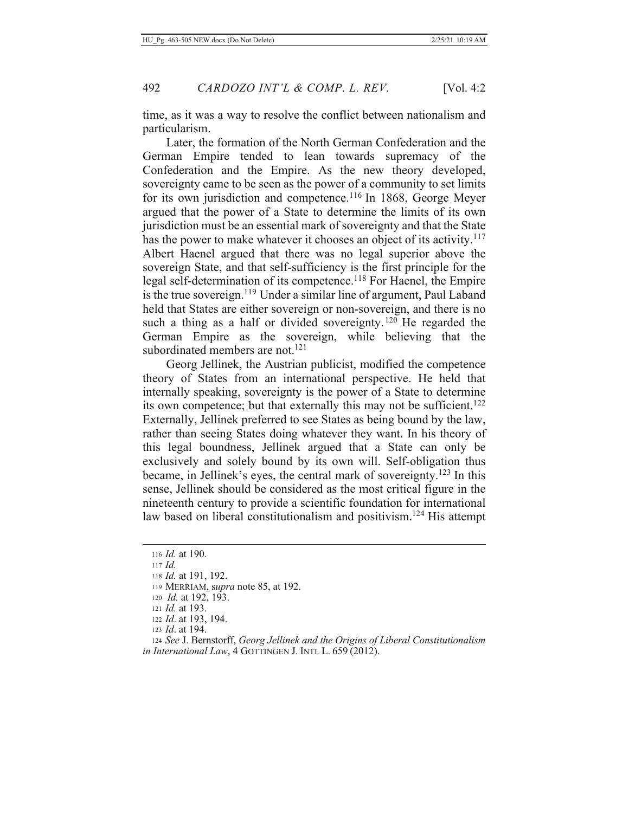time, as it was a way to resolve the conflict between nationalism and particularism.

Later, the formation of the North German Confederation and the German Empire tended to lean towards supremacy of the Confederation and the Empire. As the new theory developed, sovereignty came to be seen as the power of a community to set limits for its own jurisdiction and competence.<sup>116</sup> In 1868, George Meyer argued that the power of a State to determine the limits of its own jurisdiction must be an essential mark of sovereignty and that the State has the power to make whatever it chooses an object of its activity.<sup>117</sup> Albert Haenel argued that there was no legal superior above the sovereign State, and that self-sufficiency is the first principle for the legal self-determination of its competence.<sup>118</sup> For Haenel, the Empire is the true sovereign.<sup>119</sup> Under a similar line of argument, Paul Laband held that States are either sovereign or non-sovereign, and there is no such a thing as a half or divided sovereignty.<sup>120</sup> He regarded the German Empire as the sovereign, while believing that the subordinated members are not.<sup>121</sup>

Georg Jellinek, the Austrian publicist, modified the competence theory of States from an international perspective. He held that internally speaking, sovereignty is the power of a State to determine its own competence; but that externally this may not be sufficient.<sup>122</sup> Externally, Jellinek preferred to see States as being bound by the law, rather than seeing States doing whatever they want. In his theory of this legal boundness, Jellinek argued that a State can only be exclusively and solely bound by its own will. Self-obligation thus became, in Jellinek's eyes, the central mark of sovereignty.<sup>123</sup> In this sense, Jellinek should be considered as the most critical figure in the nineteenth century to provide a scientific foundation for international law based on liberal constitutionalism and positivism.<sup>124</sup> His attempt

119 MERRIAM, supra note 85, at 192.

- 121 Id. at 193.
- 122 Id. at 193, 194.
- 123 *Id.* at 194.

<sup>116</sup> Id. at 190.

 $117$  *Id.* 

<sup>118</sup> *Id.* at 191, 192.

<sup>120</sup> *Id.* at 192, 193.

<sup>124</sup> See J. Bernstorff, Georg Jellinek and the Origins of Liberal Constitutionalism in International Law, 4 GOTTINGEN J. INTL L. 659 (2012).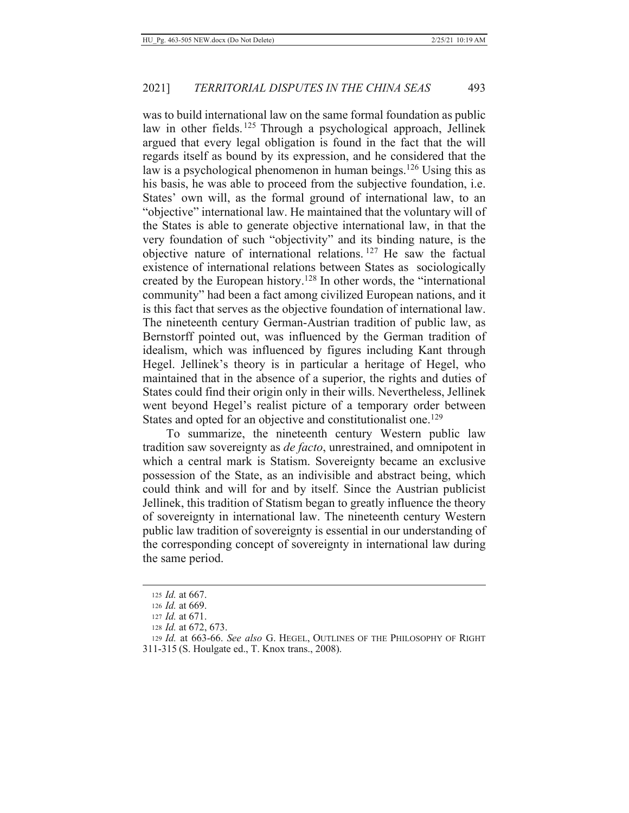was to build international law on the same formal foundation as public law in other fields.<sup>125</sup> Through a psychological approach, Jellinek argued that every legal obligation is found in the fact that the will regards itself as bound by its expression, and he considered that the law is a psychological phenomenon in human beings.<sup>126</sup> Using this as his basis, he was able to proceed from the subjective foundation, *i.e.* States' own will, as the formal ground of international law, to an "objective" international law. He maintained that the voluntary will of the States is able to generate objective international law, in that the very foundation of such "objectivity" and its binding nature, is the objective nature of international relations.<sup>127</sup> He saw the factual existence of international relations between States as sociologically created by the European history.<sup>128</sup> In other words, the "international community" had been a fact among civilized European nations, and it is this fact that serves as the objective foundation of international law. The nineteenth century German-Austrian tradition of public law, as Bernstorff pointed out, was influenced by the German tradition of idealism, which was influenced by figures including Kant through Hegel. Jellinek's theory is in particular a heritage of Hegel, who maintained that in the absence of a superior, the rights and duties of States could find their origin only in their wills. Nevertheless, Jellinek went beyond Hegel's realist picture of a temporary order between States and opted for an objective and constitutionalist one.<sup>129</sup>

To summarize, the nineteenth century Western public law tradition saw sovereignty as *de facto*, unrestrained, and omnipotent in which a central mark is Statism. Sovereignty became an exclusive possession of the State, as an indivisible and abstract being, which could think and will for and by itself. Since the Austrian publicist Jellinek, this tradition of Statism began to greatly influence the theory of sovereignty in international law. The nineteenth century Western public law tradition of sovereignty is essential in our understanding of the corresponding concept of sovereignty in international law during the same period.

<sup>125</sup> *Id.* at  $667$ .

<sup>126</sup> Id. at 669.

<sup>127</sup> *Id.* at 671.

<sup>128</sup> *Id.* at 672, 673.

<sup>129</sup> Id. at 663-66. See also G. HEGEL, OUTLINES OF THE PHILOSOPHY OF RIGHT 311-315 (S. Houlgate ed., T. Knox trans., 2008).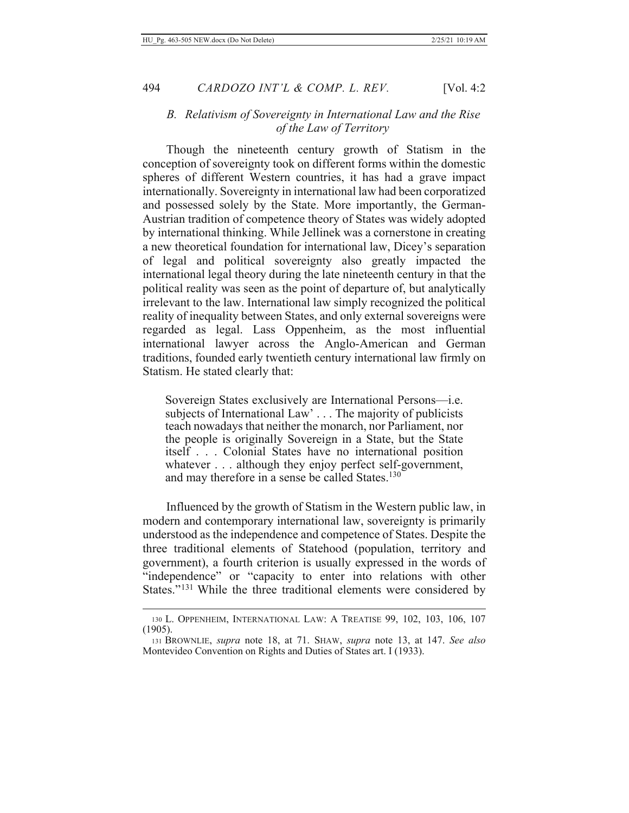## B. Relativism of Sovereignty in International Law and the Rise of the Law of Territory

Though the nineteenth century growth of Statism in the conception of sovereignty took on different forms within the domestic spheres of different Western countries, it has had a grave impact internationally. Sovereignty in international law had been corporatized and possessed solely by the State. More importantly, the German-Austrian tradition of competence theory of States was widely adopted by international thinking. While Jellinek was a cornerstone in creating a new theoretical foundation for international law, Dicey's separation of legal and political sovereignty also greatly impacted the international legal theory during the late nineteenth century in that the political reality was seen as the point of departure of, but analytically irrelevant to the law. International law simply recognized the political reality of inequality between States, and only external sovereigns were regarded as legal. Lass Oppenheim, as the most influential international lawyer across the Anglo-American and German traditions, founded early twentieth century international law firmly on Statism. He stated clearly that:

Sovereign States exclusively are International Persons—i.e. subjects of International Law'... The majority of publicists teach nowadays that neither the monarch, nor Parliament, nor the people is originally Sovereign in a State, but the State itself . . . Colonial States have no international position whatever . . . although they enjoy perfect self-government, and may therefore in a sense be called States.<sup>130</sup>

Influenced by the growth of Statism in the Western public law, in modern and contemporary international law, sovereignty is primarily understood as the independence and competence of States. Despite the three traditional elements of Statehood (population, territory and government), a fourth criterion is usually expressed in the words of "independence" or "capacity to enter into relations with other States."<sup>131</sup> While the three traditional elements were considered by

<sup>130</sup> L. OPPENHEIM, INTERNATIONAL LAW: A TREATISE 99, 102, 103, 106, 107  $(1905).$ 

<sup>131</sup> BROWNLIE, supra note 18, at 71. SHAW, supra note 13, at 147. See also Montevideo Convention on Rights and Duties of States art. I (1933).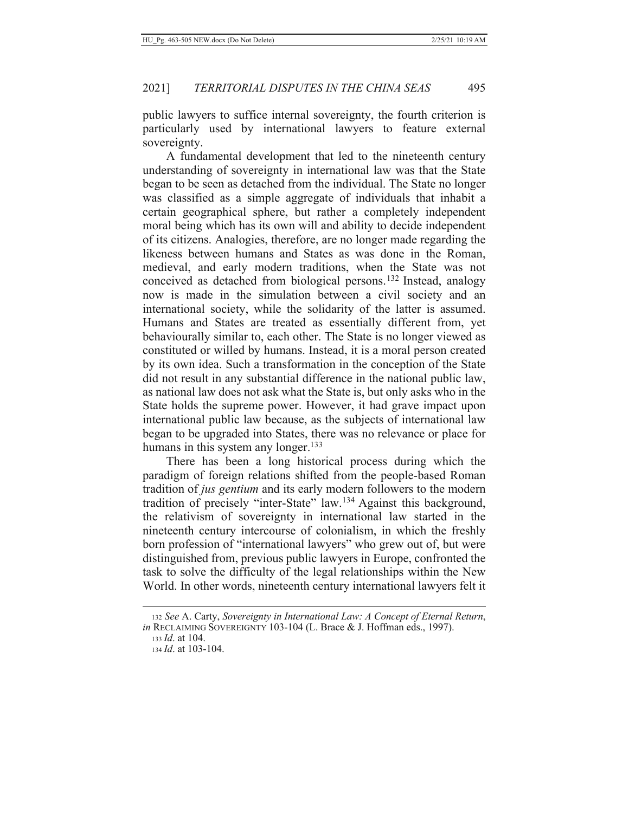public lawyers to suffice internal sovereignty, the fourth criterion is particularly used by international lawyers to feature external sovereignty.

A fundamental development that led to the nineteenth century understanding of sovereignty in international law was that the State began to be seen as detached from the individual. The State no longer was classified as a simple aggregate of individuals that inhabit a certain geographical sphere, but rather a completely independent moral being which has its own will and ability to decide independent of its citizens. Analogies, therefore, are no longer made regarding the likeness between humans and States as was done in the Roman, medieval, and early modern traditions, when the State was not conceived as detached from biological persons.<sup>132</sup> Instead, analogy now is made in the simulation between a civil society and an international society, while the solidarity of the latter is assumed. Humans and States are treated as essentially different from, yet behaviourally similar to, each other. The State is no longer viewed as constituted or willed by humans. Instead, it is a moral person created by its own idea. Such a transformation in the conception of the State did not result in any substantial difference in the national public law, as national law does not ask what the State is, but only asks who in the State holds the supreme power. However, it had grave impact upon international public law because, as the subjects of international law began to be upgraded into States, there was no relevance or place for humans in this system any longer.<sup>133</sup>

There has been a long historical process during which the paradigm of foreign relations shifted from the people-based Roman tradition of jus gentium and its early modern followers to the modern tradition of precisely "inter-State" law.<sup>134</sup> Against this background, the relativism of sovereignty in international law started in the nineteenth century intercourse of colonialism, in which the freshly born profession of "international lawyers" who grew out of, but were distinguished from, previous public lawyers in Europe, confronted the task to solve the difficulty of the legal relationships within the New World. In other words, nineteenth century international lawyers felt it

<sup>132</sup> See A. Carty, Sovereignty in International Law: A Concept of Eternal Return, in RECLAIMING SOVEREIGNTY 103-104 (L. Brace & J. Hoffman eds., 1997).

 $133$  *Id.* at 104.

<sup>134</sup> Id. at 103-104.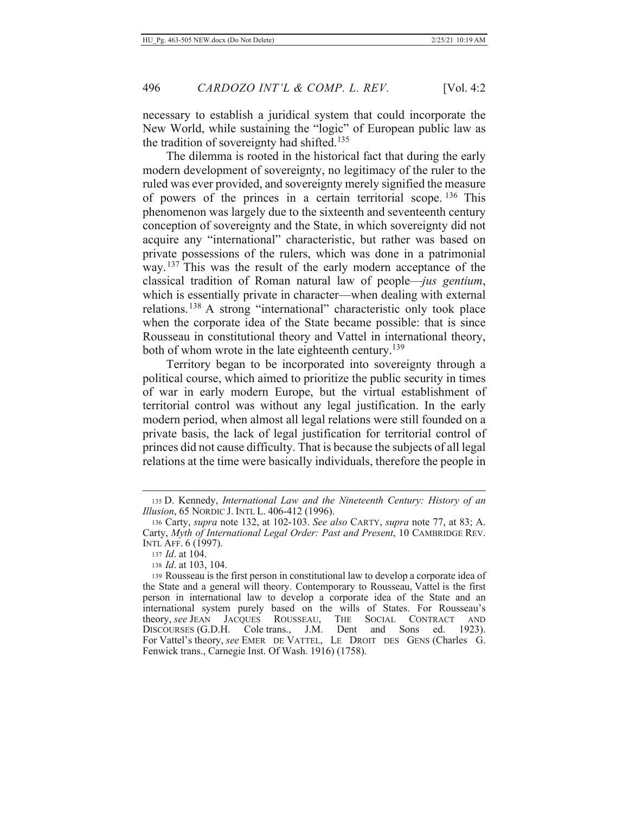necessary to establish a juridical system that could incorporate the New World, while sustaining the "logic" of European public law as the tradition of sovereignty had shifted.<sup>135</sup>

The dilemma is rooted in the historical fact that during the early modern development of sovereignty, no legitimacy of the ruler to the ruled was ever provided, and sovereignty merely signified the measure of powers of the princes in a certain territorial scope.  $^{136}$  This phenomenon was largely due to the sixteenth and seventeenth century conception of sovereignty and the State, in which sovereignty did not acquire any "international" characteristic, but rather was based on private possessions of the rulers, which was done in a patrimonial way.<sup>137</sup> This was the result of the early modern acceptance of the classical tradition of Roman natural law of people—*jus gentium*, which is essentially private in character—when dealing with external relations.<sup>138</sup> A strong "international" characteristic only took place when the corporate idea of the State became possible: that is since Rousseau in constitutional theory and Vattel in international theory, both of whom wrote in the late eighteenth century.<sup>139</sup>

Territory began to be incorporated into sovereignty through a political course, which aimed to prioritize the public security in times of war in early modern Europe, but the virtual establishment of territorial control was without any legal justification. In the early modern period, when almost all legal relations were still founded on a private basis, the lack of legal justification for territorial control of princes did not cause difficulty. That is because the subjects of all legal relations at the time were basically individuals, therefore the people in

<sup>135</sup> D. Kennedy, International Law and the Nineteenth Century: History of an *Illusion, 65 NORDIC J. INTL L. 406-412 (1996).* 

<sup>136</sup> Carty, *supra* note 132, at 102-103. See also CARTY, *supra* note 77, at 83; A. Carty, Myth of International Legal Order: Past and Present, 10 CAMBRIDGE REV. Intl Aff. 6 (1997).

<sup>137</sup> *Id.* at 104.

<sup>138</sup> *Id.* at 103, 104.

<sup>139</sup> Rousseau is the first person in constitutional law to develop a corporate idea of the State and a general will theory. Contemporary to Rousseau, Vattel is the first person in international law to develop a corporate idea of the State and an international system purely based on the wills of States. For Rousseau's theory, see JEAN JACOUES ROUSSEAU, THE SOCIAL CONTRACT AND DISCOURSES (G.D.H. Cole trans., J.M. Dent and Sons ed.  $1923$ ). For Vattel's theory, see EMER DE VATTEL, LE DROIT DES GENS (Charles G. Fenwick trans., Carnegie Inst. Of Wash. 1916) (1758).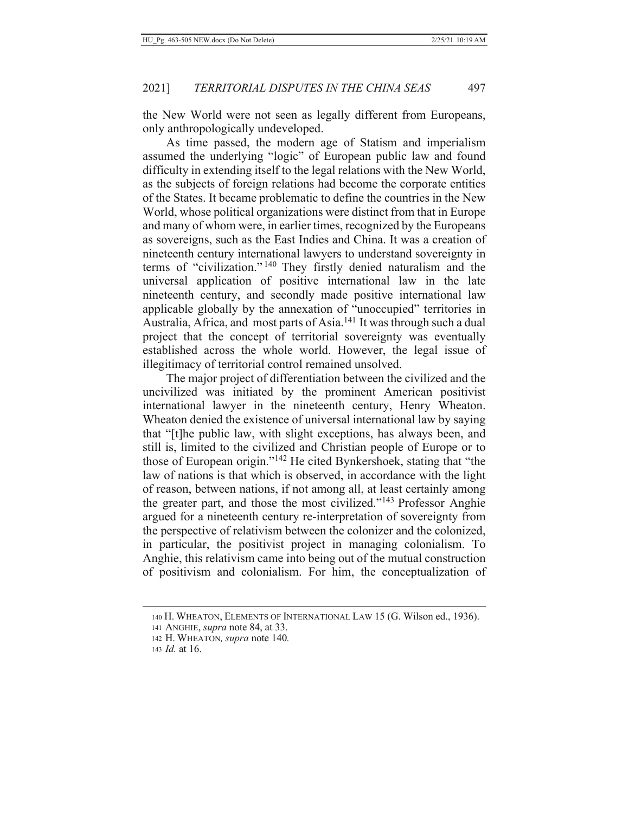the New World were not seen as legally different from Europeans, only anthropologically undeveloped.

As time passed, the modern age of Statism and imperialism assumed the underlying "logic" of European public law and found difficulty in extending itself to the legal relations with the New World, as the subjects of foreign relations had become the corporate entities of the States. It became problematic to define the countries in the New World, whose political organizations were distinct from that in Europe and many of whom were, in earlier times, recognized by the Europeans as sovereigns, such as the East Indies and China. It was a creation of nineteenth century international lawyers to understand sovereignty in terms of "civilization."<sup>140</sup> They firstly denied naturalism and the universal application of positive international law in the late nineteenth century, and secondly made positive international law applicable globally by the annexation of "unoccupied" territories in Australia, Africa, and most parts of Asia.<sup>141</sup> It was through such a dual project that the concept of territorial sovereignty was eventually established across the whole world. However, the legal issue of illegitimacy of territorial control remained unsolved.

The major project of differentiation between the civilized and the uncivilized was initiated by the prominent American positivist international lawyer in the nineteenth century, Henry Wheaton. Wheaton denied the existence of universal international law by saying that "[t] he public law, with slight exceptions, has always been, and still is, limited to the civilized and Christian people of Europe or to those of European origin."<sup>142</sup> He cited Bynkershoek, stating that "the law of nations is that which is observed, in accordance with the light of reason, between nations, if not among all, at least certainly among the greater part, and those the most civilized."<sup>143</sup> Professor Anghie argued for a nineteenth century re-interpretation of sovereignty from the perspective of relativism between the colonizer and the colonized, in particular, the positivist project in managing colonialism. To Anghie, this relativism came into being out of the mutual construction of positivism and colonialism. For him, the conceptualization of

<sup>140</sup> H. WHEATON, ELEMENTS OF INTERNATIONAL LAW 15 (G. Wilson ed., 1936).

<sup>141</sup> ANGHIE, supra note 84, at 33.

<sup>142</sup> H. WHEATON, supra note 140.

<sup>143</sup> *Id.* at 16.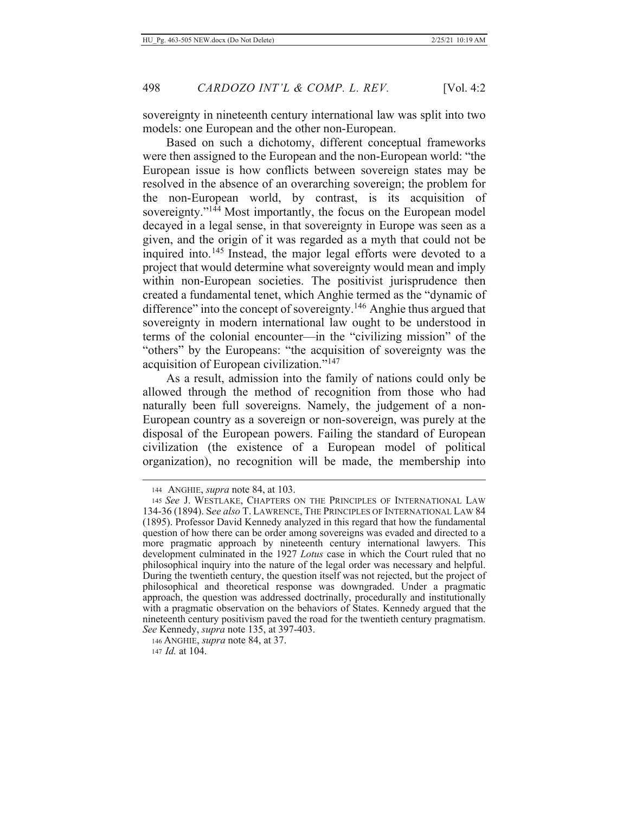sovereignty in nineteenth century international law was split into two models: one European and the other non-European.

Based on such a dichotomy, different conceptual frameworks were then assigned to the European and the non-European world: "the European issue is how conflicts between sovereign states may be resolved in the absence of an overarching sovereign; the problem for the non-European world, by contrast, is its acquisition of sovereignty."<sup>144</sup> Most importantly, the focus on the European model decayed in a legal sense, in that sovereignty in Europe was seen as a given, and the origin of it was regarded as a myth that could not be inquired into.<sup>145</sup> Instead, the major legal efforts were devoted to a project that would determine what sovereignty would mean and imply within non-European societies. The positivist jurisprudence then created a fundamental tenet, which Anghie termed as the "dynamic of difference" into the concept of sovereignty.<sup>146</sup> Anghie thus argued that sovereignty in modern international law ought to be understood in terms of the colonial encounter—in the "civilizing mission" of the "others" by the Europeans: "the acquisition of sovereignty was the acquisition of European civilization."<sup>147</sup>

As a result, admission into the family of nations could only be allowed through the method of recognition from those who had naturally been full sovereigns. Namely, the judgement of a non-European country as a sovereign or non-sovereign, was purely at the disposal of the European powers. Failing the standard of European civilization (the existence of a European model of political organization), no recognition will be made, the membership into

146 ANGHIE, *supra* note 84, at 37. 147 Id. at 104.

<sup>144</sup> ANGHIE, *supra* note 84, at 103.

<sup>145</sup> See J. WESTLAKE, CHAPTERS ON THE PRINCIPLES OF INTERNATIONAL LAW 134-36 (1894). See also T. LAWRENCE, THE PRINCIPLES OF INTERNATIONAL LAW 84 (1895). Professor David Kennedy analyzed in this regard that how the fundamental question of how there can be order among sovereigns was evaded and directed to a more pragmatic approach by nineteenth century international lawyers. This development culminated in the 1927 Lotus case in which the Court ruled that no philosophical inquiry into the nature of the legal order was necessary and helpful. During the twentieth century, the question itself was not rejected, but the project of philosophical and theoretical response was downgraded. Under a pragmatic approach, the question was addressed doctrinally, procedurally and institutionally with a pragmatic observation on the behaviors of States. Kennedy argued that the nineteenth century positivism paved the road for the twentieth century pragmatism. See Kennedy, supra note 135, at 397-403.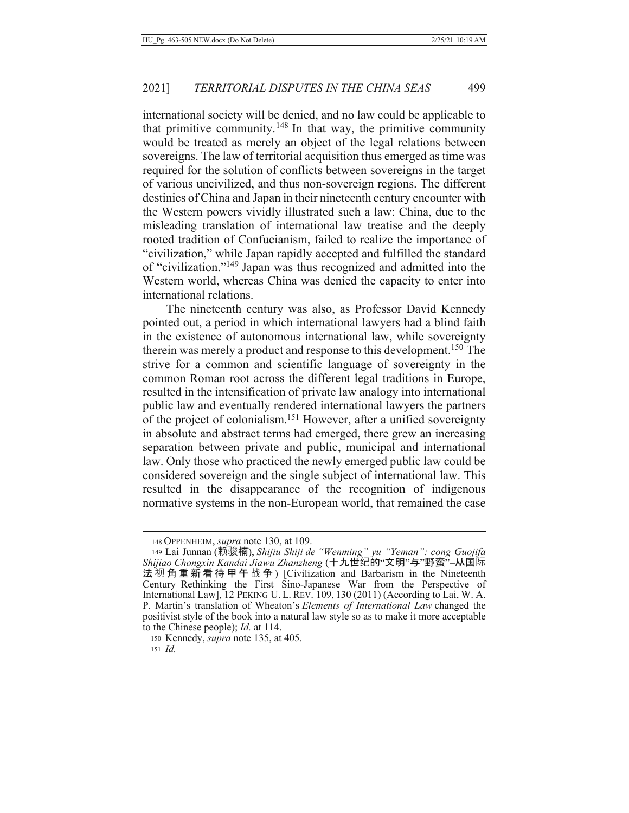international society will be denied, and no law could be applicable to that primitive community.<sup>148</sup> In that way, the primitive community would be treated as merely an object of the legal relations between sovereigns. The law of territorial acquisition thus emerged as time was required for the solution of conflicts between sovereigns in the target of various uncivilized, and thus non-sovereign regions. The different destinies of China and Japan in their nineteenth century encounter with the Western powers vividly illustrated such a law: China, due to the misleading translation of international law treatise and the deeply rooted tradition of Confucianism, failed to realize the importance of "civilization," while Japan rapidly accepted and fulfilled the standard of "civilization."<sup>149</sup> Japan was thus recognized and admitted into the Western world, whereas China was denied the capacity to enter into international relations.

The nineteenth century was also, as Professor David Kennedy pointed out, a period in which international lawyers had a blind faith in the existence of autonomous international law, while sovereignty therein was merely a product and response to this development.<sup>150</sup> The strive for a common and scientific language of sovereignty in the common Roman root across the different legal traditions in Europe, resulted in the intensification of private law analogy into international public law and eventually rendered international lawyers the partners of the project of colonialism.<sup>151</sup> However, after a unified sovereignty in absolute and abstract terms had emerged, there grew an increasing separation between private and public, municipal and international law. Only those who practiced the newly emerged public law could be considered sovereign and the single subject of international law. This resulted in the disappearance of the recognition of indigenous normative systems in the non-European world, that remained the case

150 Kennedy, *supra* note 135, at 405.  $151$  *Id.* 

<sup>148</sup> OPPENHEIM, supra note 130, at 109.

<sup>&</sup>lt;sup>149</sup> Lai Junnan (赖骏楠), Shijiu Shiji de "Wenming" yu "Yeman": cong Guojifa<br>Shijiao Chongxin Kandai Jiawu Zhanzheng (十九世纪的"文明"与"野蛮"–从国际 法视角重新看待甲午战争) [Civilization and Barbarism in the Nineteenth Century–Rethinking the First Sino-Japanese War from the Perspective of International Law], 12 PEKING U.L. REV. 109, 130 (2011) (According to Lai, W. A. P. Martin's translation of Wheaton's Elements of International Law changed the positivist style of the book into a natural law style so as to make it more acceptable to the Chinese people); *Id.* at 114.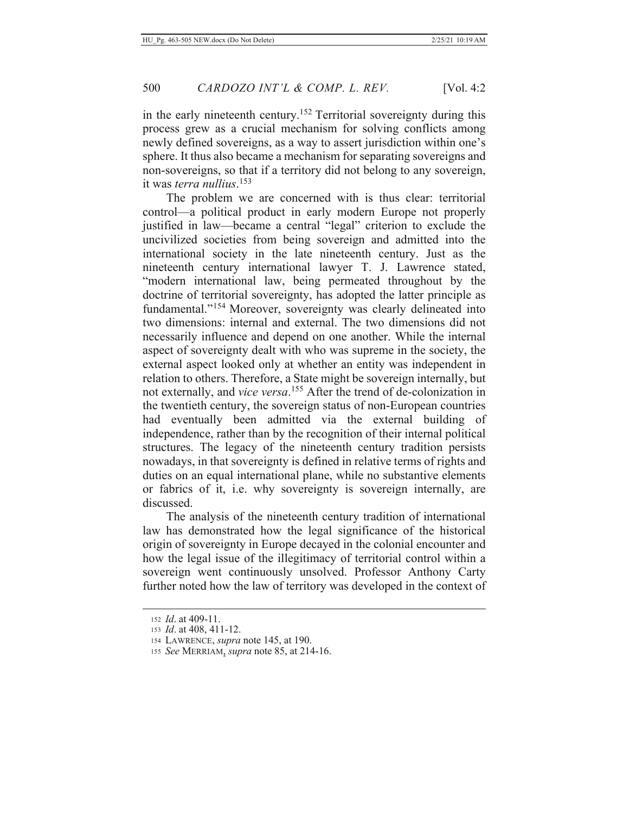in the early nineteenth century.<sup>152</sup> Territorial sovereignty during this process grew as a crucial mechanism for solving conflicts among newly defined sovereigns, as a way to assert jurisdiction within one's sphere. It thus also became a mechanism for separating sovereigns and non-sovereigns, so that if a territory did not belong to any sovereign, it was *terra nullius*.<sup>153</sup>

The problem we are concerned with is thus clear: territorial control—a political product in early modern Europe not properly justified in law—became a central "legal" criterion to exclude the uncivilized societies from being sovereign and admitted into the international society in the late nineteenth century. Just as the nineteenth century international lawyer T. J. Lawrence stated, "modern international law, being permeated throughout by the doctrine of territorial sovereignty, has adopted the latter principle as fundamental."<sup>154</sup> Moreover, sovereignty was clearly delineated into two dimensions: internal and external. The two dimensions did not necessarily influence and depend on one another. While the internal aspect of sovereignty dealt with who was supreme in the society, the external aspect looked only at whether an entity was independent in relation to others. Therefore, a State might be sovereign internally, but not externally, and vice versa.<sup>155</sup> After the trend of de-colonization in the twentieth century, the sovereign status of non-European countries had eventually been admitted via the external building of independence, rather than by the recognition of their internal political structures. The legacy of the nineteenth century tradition persists nowadays, in that sovereignty is defined in relative terms of rights and duties on an equal international plane, while no substantive elements or fabrics of it, i.e. why sovereignty is sovereign internally, are discussed.

The analysis of the nineteenth century tradition of international law has demonstrated how the legal significance of the historical origin of sovereignty in Europe decayed in the colonial encounter and how the legal issue of the illegitimacy of territorial control within a sovereign went continuously unsolved. Professor Anthony Carty further noted how the law of territory was developed in the context of

<sup>152</sup>  $Id.$  at 409-11.

<sup>153</sup> *Id.* at 408, 411-12.

<sup>154</sup> LAWRENCE, *supra* note 145, at 190.

<sup>155</sup> See MERRIAM, supra note 85, at 214-16.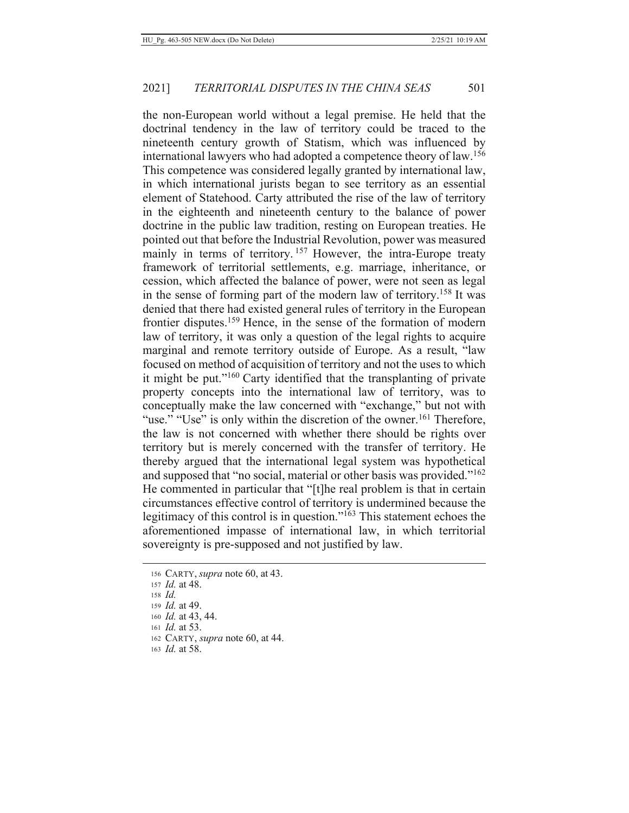the non-European world without a legal premise. He held that the doctrinal tendency in the law of territory could be traced to the nineteenth century growth of Statism, which was influenced by international lawyers who had adopted a competence theory of law.<sup>156</sup> This competence was considered legally granted by international law, in which international jurists began to see territory as an essential element of Statehood. Carty attributed the rise of the law of territory in the eighteenth and nineteenth century to the balance of power doctrine in the public law tradition, resting on European treaties. He pointed out that before the Industrial Revolution, power was measured mainly in terms of territory.<sup>157</sup> However, the intra-Europe treaty framework of territorial settlements, e.g. marriage, inheritance, or cession, which affected the balance of power, were not seen as legal

in the sense of forming part of the modern law of territory.<sup>158</sup> It was denied that there had existed general rules of territory in the European frontier disputes.<sup>159</sup> Hence, in the sense of the formation of modern law of territory, it was only a question of the legal rights to acquire marginal and remote territory outside of Europe. As a result, "law focused on method of acquisition of territory and not the uses to which it might be put." $160$  Carty identified that the transplanting of private property concepts into the international law of territory, was to conceptually make the law concerned with "exchange," but not with "use." "Use" is only within the discretion of the owner.<sup>161</sup> Therefore, the law is not concerned with whether there should be rights over territory but is merely concerned with the transfer of territory. He thereby argued that the international legal system was hypothetical and supposed that "no social, material or other basis was provided."<sup>162</sup> He commented in particular that "[t]he real problem is that in certain circumstances effective control of territory is undermined because the legitimacy of this control is in question." $163$  This statement echoes the aforementioned impasse of international law, in which territorial sovereignty is pre-supposed and not justified by law.

- 157 *Id.* at 48.
- $158$  *Id.*
- 159 *Id.* at 49.
- 160 *Id.* at 43, 44.
- 161 *Id.* at 53.
- 162 CARTY, *supra* note 60, at 44.
- 163 *Id.* at 58.

<sup>156</sup> CARTY, *supra* note 60, at 43.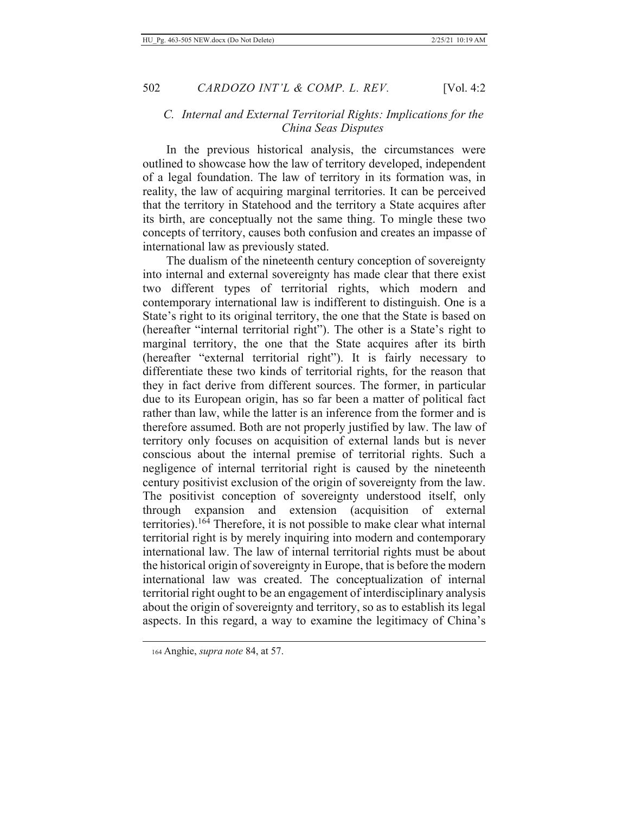## C. Internal and External Territorial Rights: Implications for the  $China$  Seas Disputes

In the previous historical analysis, the circumstances were outlined to showcase how the law of territory developed, independent of a legal foundation. The law of territory in its formation was, in reality, the law of acquiring marginal territories. It can be perceived that the territory in Statehood and the territory a State acquires after its birth, are conceptually not the same thing. To mingle these two concepts of territory, causes both confusion and creates an impasse of international law as previously stated.

The dualism of the nineteenth century conception of sovereignty into internal and external sovereignty has made clear that there exist two different types of territorial rights, which modern and contemporary international law is indifferent to distinguish. One is a State's right to its original territory, the one that the State is based on (hereafter "internal territorial right"). The other is a State's right to marginal territory, the one that the State acquires after its birth (hereafter "external territorial right"). It is fairly necessary to differentiate these two kinds of territorial rights, for the reason that they in fact derive from different sources. The former, in particular due to its European origin, has so far been a matter of political fact rather than law, while the latter is an inference from the former and is therefore assumed. Both are not properly justified by law. The law of territory only focuses on acquisition of external lands but is never conscious about the internal premise of territorial rights. Such a negligence of internal territorial right is caused by the nineteenth century positivist exclusion of the origin of sovereignty from the law. The positivist conception of sovereignty understood itself, only through expansion and extension (acquisition of external territories).<sup>164</sup> Therefore, it is not possible to make clear what internal territorial right is by merely inquiring into modern and contemporary international law. The law of internal territorial rights must be about the historical origin of sovereignty in Europe, that is before the modern international law was created. The conceptualization of internal territorial right ought to be an engagement of interdisciplinary analysis about the origin of sovereignty and territory, so as to establish its legal aspects. In this regard, a way to examine the legitimacy of China's

<sup>164</sup> Anghie, *supra note* 84, at 57.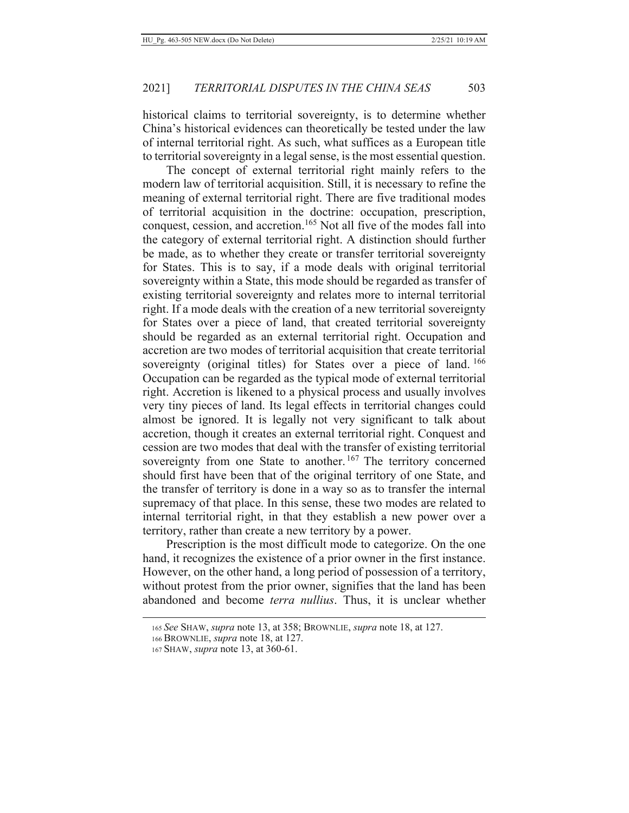historical claims to territorial sovereignty, is to determine whether China's historical evidences can theoretically be tested under the law of internal territorial right. As such, what suffices as a European title to territorial sovereignty in a legal sense, is the most essential question.

The concept of external territorial right mainly refers to the modern law of territorial acquisition. Still, it is necessary to refine the meaning of external territorial right. There are five traditional modes of territorial acquisition in the doctrine: occupation, prescription, conquest, cession, and accretion.<sup>165</sup> Not all five of the modes fall into the category of external territorial right. A distinction should further be made, as to whether they create or transfer territorial sovereignty for States. This is to say, if a mode deals with original territorial sovereignty within a State, this mode should be regarded as transfer of existing territorial sovereignty and relates more to internal territorial right. If a mode deals with the creation of a new territorial sovereignty for States over a piece of land, that created territorial sovereignty should be regarded as an external territorial right. Occupation and accretion are two modes of territorial acquisition that create territorial sovereignty (original titles) for States over a piece of land. 166 Occupation can be regarded as the typical mode of external territorial right. Accretion is likened to a physical process and usually involves very tiny pieces of land. Its legal effects in territorial changes could almost be ignored. It is legally not very significant to talk about accretion, though it creates an external territorial right. Conquest and cession are two modes that deal with the transfer of existing territorial sovereignty from one State to another.<sup>167</sup> The territory concerned should first have been that of the original territory of one State, and the transfer of territory is done in a way so as to transfer the internal supremacy of that place. In this sense, these two modes are related to internal territorial right, in that they establish a new power over a territory, rather than create a new territory by a power.

Prescription is the most difficult mode to categorize. On the one hand, it recognizes the existence of a prior owner in the first instance. However, on the other hand, a long period of possession of a territory, without protest from the prior owner, signifies that the land has been abandoned and become *terra nullius*. Thus, it is unclear whether

<sup>165</sup> See SHAW, supra note 13, at 358; BROWNLIE, supra note 18, at 127.

<sup>166</sup> BROWNLIE, *supra* note 18, at 127.

<sup>167</sup> SHAW, *supra* note 13, at 360-61.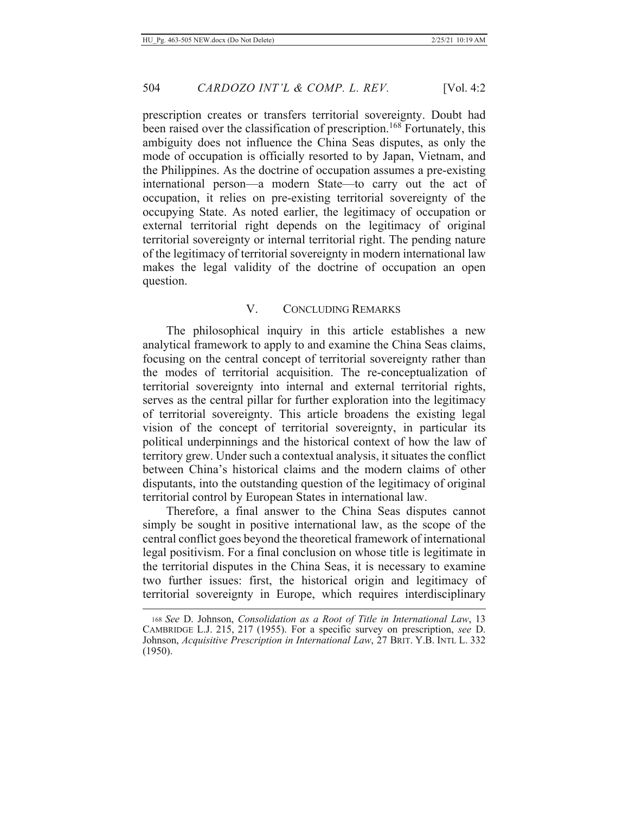504

prescription creates or transfers territorial sovereignty. Doubt had been raised over the classification of prescription.<sup>168</sup> Fortunately, this ambiguity does not influence the China Seas disputes, as only the mode of occupation is officially resorted to by Japan, Vietnam, and the Philippines. As the doctrine of occupation assumes a pre-existing international person—a modern State—to carry out the act of occupation, it relies on pre-existing territorial sovereignty of the occupying State. As noted earlier, the legitimacy of occupation or external territorial right depends on the legitimacy of original territorial sovereignty or internal territorial right. The pending nature of the legitimacy of territorial sovereignty in modern international law makes the legal validity of the doctrine of occupation an open question.

## V. CONCLUDING REMARKS

The philosophical inquiry in this article establishes a new analytical framework to apply to and examine the China Seas claims, focusing on the central concept of territorial sovereignty rather than the modes of territorial acquisition. The re-conceptualization of territorial sovereignty into internal and external territorial rights, serves as the central pillar for further exploration into the legitimacy of territorial sovereignty. This article broadens the existing legal vision of the concept of territorial sovereignty, in particular its political underpinnings and the historical context of how the law of territory grew. Under such a contextual analysis, it situates the conflict between China's historical claims and the modern claims of other disputants, into the outstanding question of the legitimacy of original territorial control by European States in international law.

Therefore, a final answer to the China Seas disputes cannot simply be sought in positive international law, as the scope of the central conflict goes beyond the theoretical framework of international legal positivism. For a final conclusion on whose title is legitimate in the territorial disputes in the China Seas, it is necessary to examine two further issues: first, the historical origin and legitimacy of territorial sovereignty in Europe, which requires interdisciplinary

<sup>168</sup> See D. Johnson, Consolidation as a Root of Title in International Law, 13 CAMBRIDGE L.J. 215, 217 (1955). For a specific survey on prescription, see D. Johnson, Acquisitive Prescription in International Law, 27 BRIT. Y.B. INTL L. 332  $(1950).$